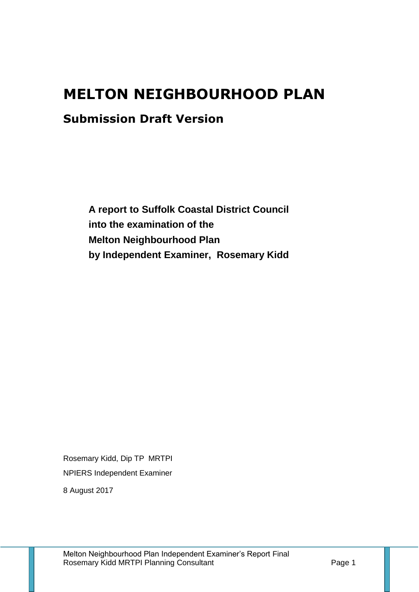# **MELTON NEIGHBOURHOOD PLAN**

# **Submission Draft Version**

**A report to Suffolk Coastal District Council into the examination of the Melton Neighbourhood Plan by Independent Examiner, Rosemary Kidd**

Rosemary Kidd, Dip TP MRTPI NPIERS Independent Examiner

8 August 2017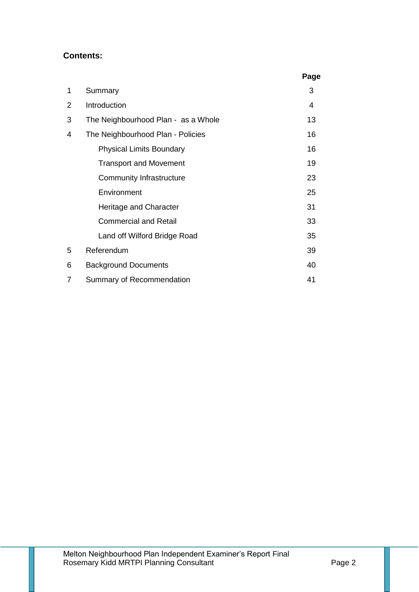# **Contents:**

|   |                                     | Page |
|---|-------------------------------------|------|
| 1 | Summary                             | 3    |
| 2 | Introduction                        | 4    |
| 3 | The Neighbourhood Plan - as a Whole | 13   |
| 4 | The Neighbourhood Plan - Policies   | 16   |
|   | <b>Physical Limits Boundary</b>     | 16   |
|   | <b>Transport and Movement</b>       | 19   |
|   | <b>Community Infrastructure</b>     | 23   |
|   | Environment                         | 25   |
|   | Heritage and Character              | 31   |
|   | <b>Commercial and Retail</b>        | 33   |
|   | Land off Wilford Bridge Road        | 35   |
| 5 | Referendum                          | 39   |
| 6 | <b>Background Documents</b>         | 40   |
| 7 | Summary of Recommendation           | 41   |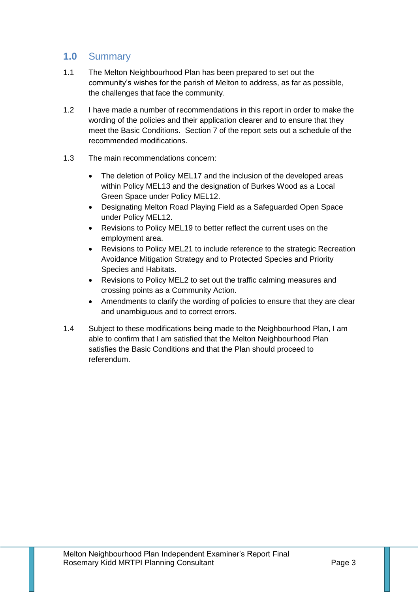# **1.0** Summary

- 1.1 The Melton Neighbourhood Plan has been prepared to set out the community's wishes for the parish of Melton to address, as far as possible, the challenges that face the community.
- 1.2 I have made a number of recommendations in this report in order to make the wording of the policies and their application clearer and to ensure that they meet the Basic Conditions. Section 7 of the report sets out a schedule of the recommended modifications.
- 1.3 The main recommendations concern:
	- The deletion of Policy MEL17 and the inclusion of the developed areas within Policy MEL13 and the designation of Burkes Wood as a Local Green Space under Policy MEL12.
	- Designating Melton Road Playing Field as a Safeguarded Open Space under Policy MEL12.
	- Revisions to Policy MEL19 to better reflect the current uses on the employment area.
	- Revisions to Policy MEL21 to include reference to the strategic Recreation Avoidance Mitigation Strategy and to Protected Species and Priority Species and Habitats.
	- Revisions to Policy MEL2 to set out the traffic calming measures and crossing points as a Community Action.
	- Amendments to clarify the wording of policies to ensure that they are clear and unambiguous and to correct errors.
- 1.4 Subject to these modifications being made to the Neighbourhood Plan, I am able to confirm that I am satisfied that the Melton Neighbourhood Plan satisfies the Basic Conditions and that the Plan should proceed to referendum.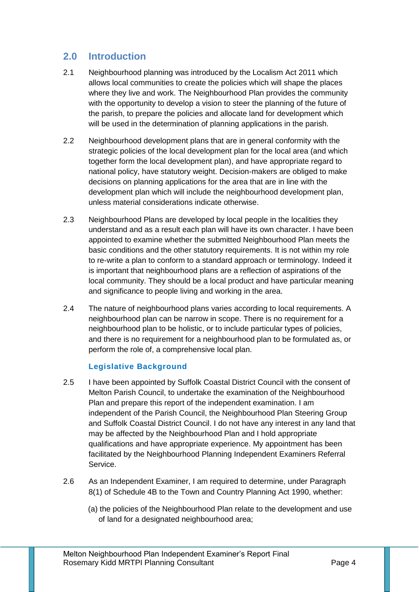# **2.0 Introduction**

- 2.1 Neighbourhood planning was introduced by the Localism Act 2011 which allows local communities to create the policies which will shape the places where they live and work. The Neighbourhood Plan provides the community with the opportunity to develop a vision to steer the planning of the future of the parish, to prepare the policies and allocate land for development which will be used in the determination of planning applications in the parish.
- 2.2 Neighbourhood development plans that are in general conformity with the strategic policies of the local development plan for the local area (and which together form the local development plan), and have appropriate regard to national policy, have statutory weight. Decision-makers are obliged to make decisions on planning applications for the area that are in line with the development plan which will include the neighbourhood development plan, unless material considerations indicate otherwise.
- 2.3 Neighbourhood Plans are developed by local people in the localities they understand and as a result each plan will have its own character. I have been appointed to examine whether the submitted Neighbourhood Plan meets the basic conditions and the other statutory requirements. It is not within my role to re-write a plan to conform to a standard approach or terminology. Indeed it is important that neighbourhood plans are a reflection of aspirations of the local community. They should be a local product and have particular meaning and significance to people living and working in the area.
- 2.4 The nature of neighbourhood plans varies according to local requirements. A neighbourhood plan can be narrow in scope. There is no requirement for a neighbourhood plan to be holistic, or to include particular types of policies, and there is no requirement for a neighbourhood plan to be formulated as, or perform the role of, a comprehensive local plan.

## **Legislative Background**

- 2.5 I have been appointed by Suffolk Coastal District Council with the consent of Melton Parish Council, to undertake the examination of the Neighbourhood Plan and prepare this report of the independent examination. I am independent of the Parish Council, the Neighbourhood Plan Steering Group and Suffolk Coastal District Council. I do not have any interest in any land that may be affected by the Neighbourhood Plan and I hold appropriate qualifications and have appropriate experience. My appointment has been facilitated by the Neighbourhood Planning Independent Examiners Referral Service.
- 2.6 As an Independent Examiner, I am required to determine, under Paragraph 8(1) of Schedule 4B to the Town and Country Planning Act 1990, whether:
	- (a) the policies of the Neighbourhood Plan relate to the development and use of land for a designated neighbourhood area;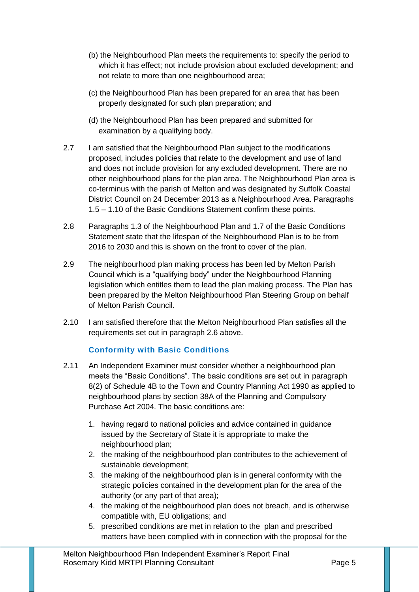- (b) the Neighbourhood Plan meets the requirements to: specify the period to which it has effect; not include provision about excluded development; and not relate to more than one neighbourhood area;
- (c) the Neighbourhood Plan has been prepared for an area that has been properly designated for such plan preparation; and
- (d) the Neighbourhood Plan has been prepared and submitted for examination by a qualifying body.
- 2.7 I am satisfied that the Neighbourhood Plan subject to the modifications proposed, includes policies that relate to the development and use of land and does not include provision for any excluded development. There are no other neighbourhood plans for the plan area. The Neighbourhood Plan area is co-terminus with the parish of Melton and was designated by Suffolk Coastal District Council on 24 December 2013 as a Neighbourhood Area. Paragraphs 1.5 – 1.10 of the Basic Conditions Statement confirm these points.
- 2.8 Paragraphs 1.3 of the Neighbourhood Plan and 1.7 of the Basic Conditions Statement state that the lifespan of the Neighbourhood Plan is to be from 2016 to 2030 and this is shown on the front to cover of the plan.
- 2.9 The neighbourhood plan making process has been led by Melton Parish Council which is a "qualifying body" under the Neighbourhood Planning legislation which entitles them to lead the plan making process. The Plan has been prepared by the Melton Neighbourhood Plan Steering Group on behalf of Melton Parish Council.
- 2.10 I am satisfied therefore that the Melton Neighbourhood Plan satisfies all the requirements set out in paragraph 2.6 above.

# **Conformity with Basic Conditions**

- 2.11 An Independent Examiner must consider whether a neighbourhood plan meets the "Basic Conditions". The basic conditions are set out in [paragraph](http://www.legislation.gov.uk/ukpga/2011/20/schedule/9/enacted)  [8\(2\) of Schedule 4B to the Town and Country Planning Act 1990](http://www.legislation.gov.uk/ukpga/2011/20/schedule/9/enacted) as applied to neighbourhood plans by section 38A of the Planning and Compulsory Purchase Act 2004. The basic conditions are:
	- 1. having regard to national policies and advice contained in guidance issued by the Secretary of State it is appropriate to make the neighbourhood plan;
	- 2. the making of the neighbourhood plan contributes to the achievement of sustainable development;
	- 3. the making of the neighbourhood plan is in general conformity with the strategic policies contained in the development plan for the area of the authority (or any part of that area);
	- 4. the making of the neighbourhood plan does not breach, and is otherwise compatible with, EU obligations; and
	- 5. prescribed conditions are met in relation to the plan and prescribed matters have been complied with in connection with the proposal for the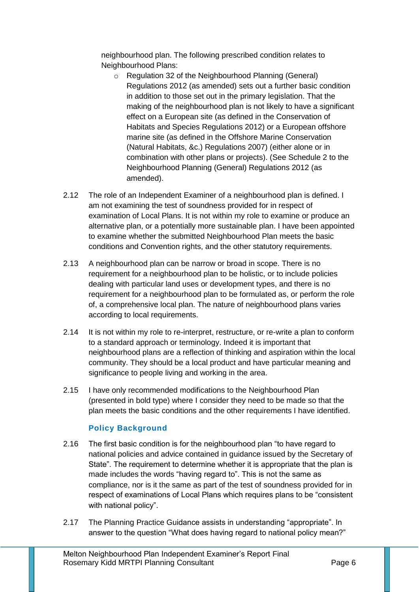neighbourhood plan. The following prescribed condition relates to Neighbourhood Plans:

- o [Regulation 32 of the Neighbourhood Planning \(General\)](http://www.legislation.gov.uk/uksi/2012/637/part/9/made)  [Regulations 2012](http://www.legislation.gov.uk/uksi/2012/637/part/9/made) [\(as amended\)](http://www.legislation.gov.uk/uksi/2013/235/made) sets out a further basic condition in addition to those set out in the primary legislation. That the making of the neighbourhood plan is not likely to have a significant effect on a European site (as defined in the Conservation of Habitats and Species Regulations 2012) or a European offshore marine site (as defined in the Offshore Marine Conservation (Natural Habitats, &c.) Regulations 2007) (either alone or in combination with other plans or projects). (See [Schedule 2 to the](http://www.legislation.gov.uk/uksi/2012/637/schedule/2/made)  [Neighbourhood Planning \(General\) Regulations 2012](http://www.legislation.gov.uk/uksi/2012/637/schedule/2/made) [\(as](http://www.legislation.gov.uk/uksi/2013/235/made)  [amended\).](http://www.legislation.gov.uk/uksi/2013/235/made)
- 2.12 The role of an Independent Examiner of a neighbourhood plan is defined. I am not examining the test of soundness provided for in respect of examination of Local Plans. It is not within my role to examine or produce an alternative plan, or a potentially more sustainable plan. I have been appointed to examine whether the submitted Neighbourhood Plan meets the basic conditions and Convention rights, and the other statutory requirements.
- 2.13 A neighbourhood plan can be narrow or broad in scope. There is no requirement for a neighbourhood plan to be holistic, or to include policies dealing with particular land uses or development types, and there is no requirement for a neighbourhood plan to be formulated as, or perform the role of, a comprehensive local plan. The nature of neighbourhood plans varies according to local requirements.
- 2.14 It is not within my role to re-interpret, restructure, or re-write a plan to conform to a standard approach or terminology. Indeed it is important that neighbourhood plans are a reflection of thinking and aspiration within the local community. They should be a local product and have particular meaning and significance to people living and working in the area.
- 2.15 I have only recommended modifications to the Neighbourhood Plan (presented in bold type) where I consider they need to be made so that the plan meets the basic conditions and the other requirements I have identified.

# **Policy Background**

- 2.16 The first basic condition is for the neighbourhood plan "to have regard to national policies and advice contained in guidance issued by the Secretary of State". The requirement to determine whether it is appropriate that the plan is made includes the words "having regard to". This is not the same as compliance, nor is it the same as part of the test of soundness provided for in respect of examinations of Local Plans which requires plans to be "consistent with national policy".
- 2.17 The Planning Practice Guidance assists in understanding "appropriate". In answer to the question "What does having regard to national policy mean?"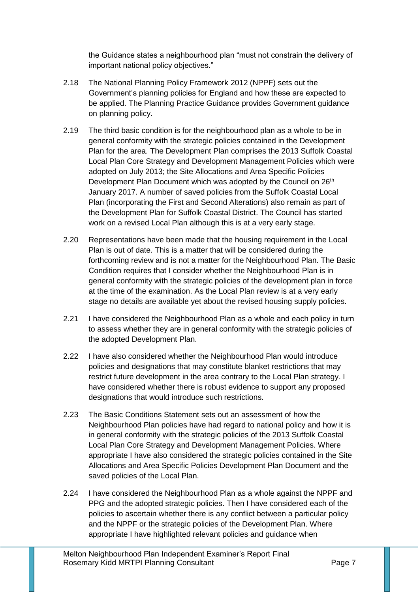the Guidance states a neighbourhood plan "must not constrain the delivery of important national policy objectives."

- 2.18 The National Planning Policy Framework 2012 (NPPF) sets out the Government's planning policies for England and how these are expected to be applied. The Planning Practice Guidance provides Government guidance on planning policy.
- 2.19 The third basic condition is for the neighbourhood plan as a whole to be in general conformity with the strategic policies contained in the Development Plan for the area. The Development Plan comprises the 2013 Suffolk Coastal Local Plan Core Strategy and Development Management Policies which were adopted on July 2013; the Site Allocations and Area Specific Policies Development Plan Document which was adopted by the Council on 26<sup>th</sup> January 2017. A number of saved policies from the Suffolk Coastal Local Plan (incorporating the First and Second Alterations) also remain as part of the Development Plan for Suffolk Coastal District. The Council has started work on a revised Local Plan although this is at a very early stage.
- 2.20 Representations have been made that the housing requirement in the Local Plan is out of date. This is a matter that will be considered during the forthcoming review and is not a matter for the Neighbourhood Plan. The Basic Condition requires that I consider whether the Neighbourhood Plan is in general conformity with the strategic policies of the development plan in force at the time of the examination. As the Local Plan review is at a very early stage no details are available yet about the revised housing supply policies.
- 2.21 I have considered the Neighbourhood Plan as a whole and each policy in turn to assess whether they are in general conformity with the strategic policies of the adopted Development Plan.
- 2.22 I have also considered whether the Neighbourhood Plan would introduce policies and designations that may constitute blanket restrictions that may restrict future development in the area contrary to the Local Plan strategy. I have considered whether there is robust evidence to support any proposed designations that would introduce such restrictions.
- 2.23 The Basic Conditions Statement sets out an assessment of how the Neighbourhood Plan policies have had regard to national policy and how it is in general conformity with the strategic policies of the 2013 Suffolk Coastal Local Plan Core Strategy and Development Management Policies. Where appropriate I have also considered the strategic policies contained in the Site Allocations and Area Specific Policies Development Plan Document and the saved policies of the Local Plan.
- 2.24 I have considered the Neighbourhood Plan as a whole against the NPPF and PPG and the adopted strategic policies. Then I have considered each of the policies to ascertain whether there is any conflict between a particular policy and the NPPF or the strategic policies of the Development Plan. Where appropriate I have highlighted relevant policies and guidance when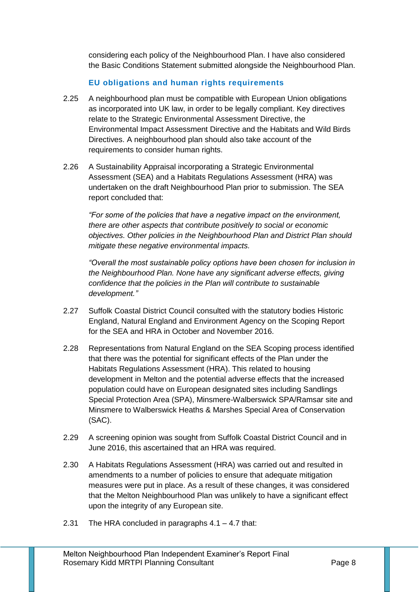considering each policy of the Neighbourhood Plan. I have also considered the Basic Conditions Statement submitted alongside the Neighbourhood Plan.

# **EU obligations and human rights requirements**

- 2.25 A neighbourhood plan must be compatible with European Union obligations as incorporated into UK law, in order to be legally compliant. Key directives relate to the Strategic Environmental Assessment Directive, the Environmental Impact Assessment Directive and the Habitats and Wild Birds Directives. A neighbourhood plan should also take account of the requirements to consider human rights.
- 2.26 A Sustainability Appraisal incorporating a Strategic Environmental Assessment (SEA) and a Habitats Regulations Assessment (HRA) was undertaken on the draft Neighbourhood Plan prior to submission. The SEA report concluded that:

*"For some of the policies that have a negative impact on the environment, there are other aspects that contribute positively to social or economic objectives. Other policies in the Neighbourhood Plan and District Plan should mitigate these negative environmental impacts.* 

*"Overall the most sustainable policy options have been chosen for inclusion in the Neighbourhood Plan. None have any significant adverse effects, giving confidence that the policies in the Plan will contribute to sustainable development."*

- 2.27 Suffolk Coastal District Council consulted with the statutory bodies Historic England, Natural England and Environment Agency on the Scoping Report for the SEA and HRA in October and November 2016.
- 2.28 Representations from Natural England on the SEA Scoping process identified that there was the potential for significant effects of the Plan under the Habitats Regulations Assessment (HRA). This related to housing development in Melton and the potential adverse effects that the increased population could have on European designated sites including Sandlings Special Protection Area (SPA), Minsmere-Walberswick SPA/Ramsar site and Minsmere to Walberswick Heaths & Marshes Special Area of Conservation (SAC).
- 2.29 A screening opinion was sought from Suffolk Coastal District Council and in June 2016, this ascertained that an HRA was required.
- 2.30 A Habitats Regulations Assessment (HRA) was carried out and resulted in amendments to a number of policies to ensure that adequate mitigation measures were put in place. As a result of these changes, it was considered that the Melton Neighbourhood Plan was unlikely to have a significant effect upon the integrity of any European site.
- 2.31 The HRA concluded in paragraphs 4.1 4.7 that: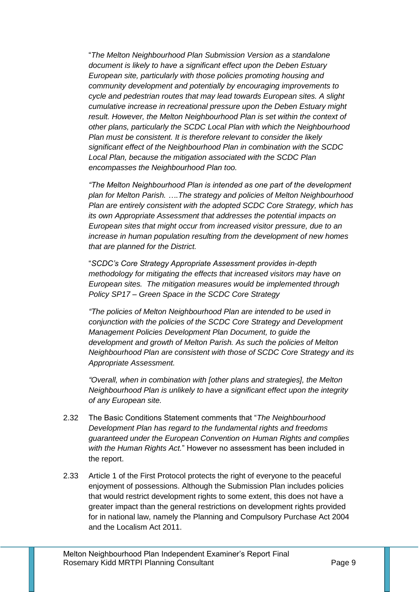"*The Melton Neighbourhood Plan Submission Version as a standalone document is likely to have a significant effect upon the Deben Estuary European site, particularly with those policies promoting housing and community development and potentially by encouraging improvements to cycle and pedestrian routes that may lead towards European sites. A slight cumulative increase in recreational pressure upon the Deben Estuary might result. However, the Melton Neighbourhood Plan is set within the context of other plans, particularly the SCDC Local Plan with which the Neighbourhood Plan must be consistent. It is therefore relevant to consider the likely significant effect of the Neighbourhood Plan in combination with the SCDC Local Plan, because the mitigation associated with the SCDC Plan encompasses the Neighbourhood Plan too.* 

*"The Melton Neighbourhood Plan is intended as one part of the development plan for Melton Parish. ….The strategy and policies of Melton Neighbourhood Plan are entirely consistent with the adopted SCDC Core Strategy, which has its own Appropriate Assessment that addresses the potential impacts on European sites that might occur from increased visitor pressure, due to an increase in human population resulting from the development of new homes that are planned for the District.*

"*SCDC's Core Strategy Appropriate Assessment provides in-depth methodology for mitigating the effects that increased visitors may have on European sites. The mitigation measures would be implemented through Policy SP17 – Green Space in the SCDC Core Strategy* 

*"The policies of Melton Neighbourhood Plan are intended to be used in conjunction with the policies of the SCDC Core Strategy and Development Management Policies Development Plan Document, to guide the development and growth of Melton Parish. As such the policies of Melton Neighbourhood Plan are consistent with those of SCDC Core Strategy and its Appropriate Assessment.* 

*"Overall, when in combination with [other plans and strategies], the Melton Neighbourhood Plan is unlikely to have a significant effect upon the integrity of any European site.* 

- 2.32 The Basic Conditions Statement comments that "*The Neighbourhood Development Plan has regard to the fundamental rights and freedoms guaranteed under the European Convention on Human Rights and complies with the Human Rights Act.*" However no assessment has been included in the report.
- 2.33 Article 1 of the First Protocol protects the right of everyone to the peaceful enjoyment of possessions. Although the Submission Plan includes policies that would restrict development rights to some extent, this does not have a greater impact than the general restrictions on development rights provided for in national law, namely the Planning and Compulsory Purchase Act 2004 and the Localism Act 2011.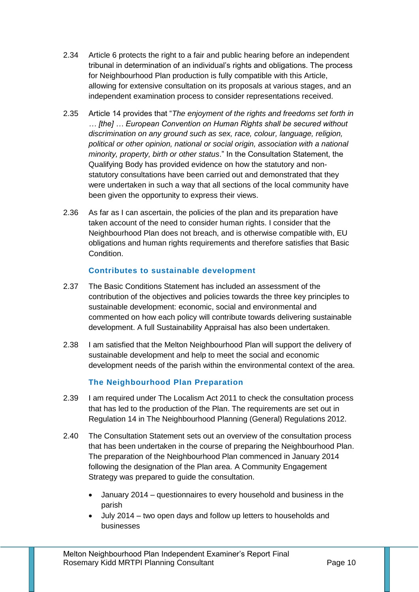- 2.34 Article 6 protects the right to a fair and public hearing before an independent tribunal in determination of an individual's rights and obligations. The process for Neighbourhood Plan production is fully compatible with this Article, allowing for extensive consultation on its proposals at various stages, and an independent examination process to consider representations received.
- 2.35 Article 14 provides that "*The enjoyment of the rights and freedoms set forth in … [the] … European Convention on Human Rights shall be secured without discrimination on any ground such as sex, race, colour, language, religion, political or other opinion, national or social origin, association with a national minority, property, birth or other status*." In the Consultation Statement, the Qualifying Body has provided evidence on how the statutory and nonstatutory consultations have been carried out and demonstrated that they were undertaken in such a way that all sections of the local community have been given the opportunity to express their views.
- 2.36 As far as I can ascertain, the policies of the plan and its preparation have taken account of the need to consider human rights. I consider that the Neighbourhood Plan does not breach, and is otherwise compatible with, EU obligations and human rights requirements and therefore satisfies that Basic Condition.

## **Contributes to sustainable development**

- 2.37 The Basic Conditions Statement has included an assessment of the contribution of the objectives and policies towards the three key principles to sustainable development: economic, social and environmental and commented on how each policy will contribute towards delivering sustainable development. A full Sustainability Appraisal has also been undertaken.
- 2.38 I am satisfied that the Melton Neighbourhood Plan will support the delivery of sustainable development and help to meet the social and economic development needs of the parish within the environmental context of the area.

## **The Neighbourhood Plan Preparation**

- 2.39 I am required under The Localism Act 2011 to check the consultation process that has led to the production of the Plan. The requirements are set out in Regulation 14 in The Neighbourhood Planning (General) Regulations 2012.
- 2.40 The Consultation Statement sets out an overview of the consultation process that has been undertaken in the course of preparing the Neighbourhood Plan. The preparation of the Neighbourhood Plan commenced in January 2014 following the designation of the Plan area. A Community Engagement Strategy was prepared to guide the consultation.
	- January 2014 questionnaires to every household and business in the parish
	- July 2014 two open days and follow up letters to households and businesses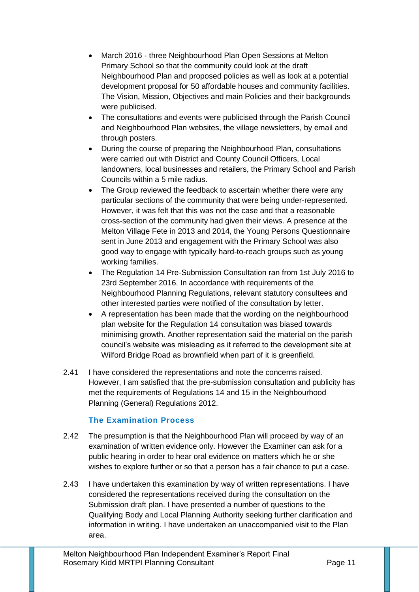- March 2016 three Neighbourhood Plan Open Sessions at Melton Primary School so that the community could look at the draft Neighbourhood Plan and proposed policies as well as look at a potential development proposal for 50 affordable houses and community facilities. The Vision, Mission, Objectives and main Policies and their backgrounds were publicised.
- The consultations and events were publicised through the Parish Council and Neighbourhood Plan websites, the village newsletters, by email and through posters.
- During the course of preparing the Neighbourhood Plan, consultations were carried out with District and County Council Officers, Local landowners, local businesses and retailers, the Primary School and Parish Councils within a 5 mile radius.
- The Group reviewed the feedback to ascertain whether there were any particular sections of the community that were being under-represented. However, it was felt that this was not the case and that a reasonable cross-section of the community had given their views. A presence at the Melton Village Fete in 2013 and 2014, the Young Persons Questionnaire sent in June 2013 and engagement with the Primary School was also good way to engage with typically hard-to-reach groups such as young working families.
- The Regulation 14 Pre-Submission Consultation ran from 1st July 2016 to 23rd September 2016. In accordance with requirements of the Neighbourhood Planning Regulations, relevant statutory consultees and other interested parties were notified of the consultation by letter.
- A representation has been made that the wording on the neighbourhood plan website for the Regulation 14 consultation was biased towards minimising growth. Another representation said the material on the parish council's website was misleading as it referred to the development site at Wilford Bridge Road as brownfield when part of it is greenfield.
- 2.41 I have considered the representations and note the concerns raised. However, I am satisfied that the pre-submission consultation and publicity has met the requirements of Regulations 14 and 15 in the Neighbourhood Planning (General) Regulations 2012.

# **The Examination Process**

- 2.42 The presumption is that the Neighbourhood Plan will proceed by way of an examination of written evidence only. However the Examiner can ask for a public hearing in order to hear oral evidence on matters which he or she wishes to explore further or so that a person has a fair chance to put a case.
- 2.43 I have undertaken this examination by way of written representations. I have considered the representations received during the consultation on the Submission draft plan. I have presented a number of questions to the Qualifying Body and Local Planning Authority seeking further clarification and information in writing. I have undertaken an unaccompanied visit to the Plan area.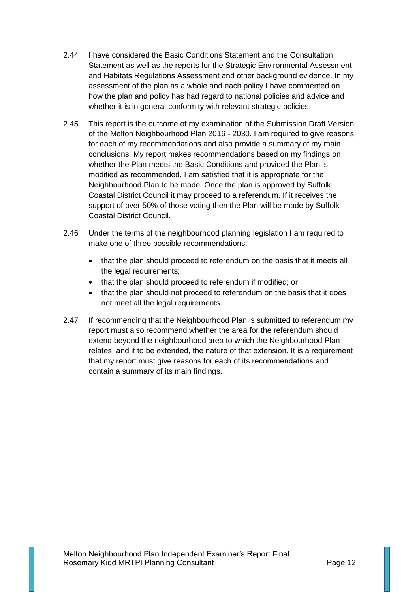- 2.44 I have considered the Basic Conditions Statement and the Consultation Statement as well as the reports for the Strategic Environmental Assessment and Habitats Regulations Assessment and other background evidence. In my assessment of the plan as a whole and each policy I have commented on how the plan and policy has had regard to national policies and advice and whether it is in general conformity with relevant strategic policies.
- 2.45 This report is the outcome of my examination of the Submission Draft Version of the Melton Neighbourhood Plan 2016 - 2030. I am required to give reasons for each of my recommendations and also provide a summary of my main conclusions. My report makes recommendations based on my findings on whether the Plan meets the Basic Conditions and provided the Plan is modified as recommended, I am satisfied that it is appropriate for the Neighbourhood Plan to be made. Once the plan is approved by Suffolk Coastal District Council it may proceed to a referendum. If it receives the support of over 50% of those voting then the Plan will be made by Suffolk Coastal District Council.
- 2.46 Under the terms of the neighbourhood planning legislation I am required to make one of three possible recommendations:
	- that the plan should proceed to referendum on the basis that it meets all the legal requirements;
	- that the plan should proceed to referendum if modified; or
	- that the plan should not proceed to referendum on the basis that it does not meet all the legal requirements.
- 2.47 If recommending that the Neighbourhood Plan is submitted to referendum my report must also recommend whether the area for the referendum should extend beyond the neighbourhood area to which the Neighbourhood Plan relates, and if to be extended, the nature of that extension. It is a requirement that my report must give reasons for each of its recommendations and contain a summary of its main findings.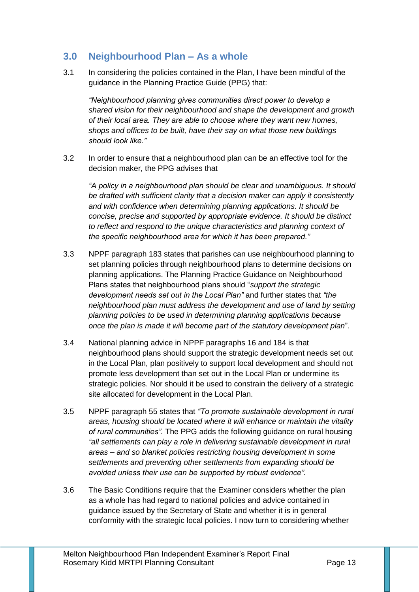# **3.0 Neighbourhood Plan – As a whole**

3.1 In considering the policies contained in the Plan, I have been mindful of the guidance in the Planning Practice Guide (PPG) that:

*"Neighbourhood planning gives communities direct power to develop a shared vision for their neighbourhood and shape the development and growth of their local area. They are able to choose where they want new homes, shops and offices to be built, have their say on what those new buildings should look like."*

3.2 In order to ensure that a neighbourhood plan can be an effective tool for the decision maker, the PPG advises that

*"A policy in a neighbourhood plan should be clear and unambiguous. It should be drafted with sufficient clarity that a decision maker can apply it consistently and with confidence when determining planning applications. It should be concise, precise and supported by appropriate evidence. It should be distinct to reflect and respond to the unique characteristics and planning context of the specific neighbourhood area for which it has been prepared."*

- 3.3 NPPF paragraph 183 states that parishes can use neighbourhood planning to set planning policies through neighbourhood plans to determine decisions on planning applications. The Planning Practice Guidance on Neighbourhood Plans states that neighbourhood plans should "*support the strategic development needs set out in the Local Plan"* and further states that *"the neighbourhood plan must address the development and use of land by setting planning policies to be used in determining planning applications because once the plan is made it will become part of the statutory development plan*".
- 3.4 National planning advice in NPPF paragraphs 16 and 184 is that neighbourhood plans should support the strategic development needs set out in the Local Plan, plan positively to support local development and should not promote less development than set out in the Local Plan or undermine its strategic policies. Nor should it be used to constrain the delivery of a strategic site allocated for development in the Local Plan.
- 3.5 NPPF paragraph 55 states that *"To promote sustainable development in rural areas, housing should be located where it will enhance or maintain the vitality of rural communities"*. The PPG adds the following guidance on rural housing *"all settlements can play a role in delivering sustainable development in rural areas – and so blanket policies restricting housing development in some settlements and preventing other settlements from expanding should be avoided unless their use can be supported by robust evidence".*
- 3.6 The Basic Conditions require that the Examiner considers whether the plan as a whole has had regard to national policies and advice contained in guidance issued by the Secretary of State and whether it is in general conformity with the strategic local policies. I now turn to considering whether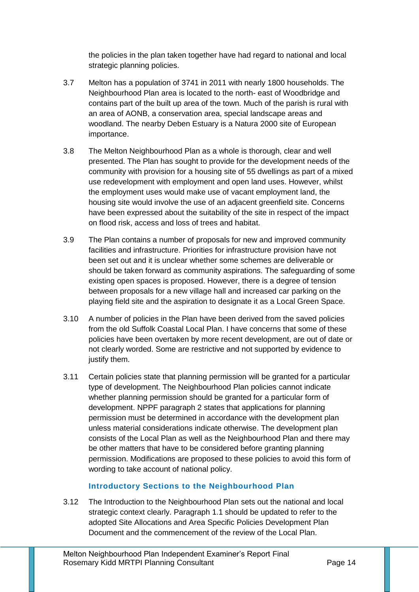the policies in the plan taken together have had regard to national and local strategic planning policies.

- 3.7 Melton has a population of 3741 in 2011 with nearly 1800 households. The Neighbourhood Plan area is located to the north- east of Woodbridge and contains part of the built up area of the town. Much of the parish is rural with an area of AONB, a conservation area, special landscape areas and woodland. The nearby Deben Estuary is a Natura 2000 site of European importance.
- 3.8 The Melton Neighbourhood Plan as a whole is thorough, clear and well presented. The Plan has sought to provide for the development needs of the community with provision for a housing site of 55 dwellings as part of a mixed use redevelopment with employment and open land uses. However, whilst the employment uses would make use of vacant employment land, the housing site would involve the use of an adjacent greenfield site. Concerns have been expressed about the suitability of the site in respect of the impact on flood risk, access and loss of trees and habitat.
- 3.9 The Plan contains a number of proposals for new and improved community facilities and infrastructure. Priorities for infrastructure provision have not been set out and it is unclear whether some schemes are deliverable or should be taken forward as community aspirations. The safeguarding of some existing open spaces is proposed. However, there is a degree of tension between proposals for a new village hall and increased car parking on the playing field site and the aspiration to designate it as a Local Green Space.
- 3.10 A number of policies in the Plan have been derived from the saved policies from the old Suffolk Coastal Local Plan. I have concerns that some of these policies have been overtaken by more recent development, are out of date or not clearly worded. Some are restrictive and not supported by evidence to justify them.
- 3.11 Certain policies state that planning permission will be granted for a particular type of development. The Neighbourhood Plan policies cannot indicate whether planning permission should be granted for a particular form of development. NPPF paragraph 2 states that applications for planning permission must be determined in accordance with the development plan unless material considerations indicate otherwise. The development plan consists of the Local Plan as well as the Neighbourhood Plan and there may be other matters that have to be considered before granting planning permission. Modifications are proposed to these policies to avoid this form of wording to take account of national policy.

## **Introductory Sections to the Neighbourhood Plan**

3.12 The Introduction to the Neighbourhood Plan sets out the national and local strategic context clearly. Paragraph 1.1 should be updated to refer to the adopted Site Allocations and Area Specific Policies Development Plan Document and the commencement of the review of the Local Plan.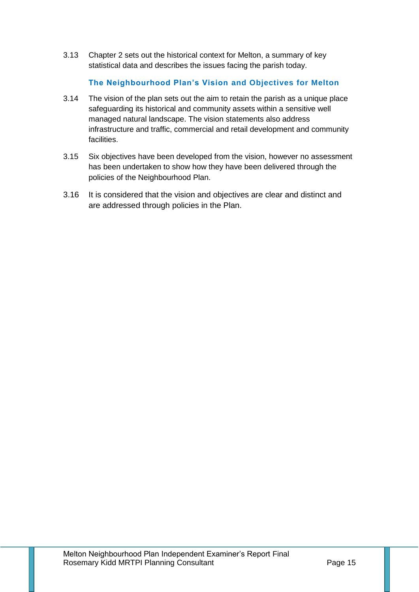3.13 Chapter 2 sets out the historical context for Melton, a summary of key statistical data and describes the issues facing the parish today.

# **The Neighbourhood Plan's Vision and Objectives for Melton**

- 3.14 The vision of the plan sets out the aim to retain the parish as a unique place safeguarding its historical and community assets within a sensitive well managed natural landscape. The vision statements also address infrastructure and traffic, commercial and retail development and community facilities.
- 3.15 Six objectives have been developed from the vision, however no assessment has been undertaken to show how they have been delivered through the policies of the Neighbourhood Plan.
- 3.16 It is considered that the vision and objectives are clear and distinct and are addressed through policies in the Plan.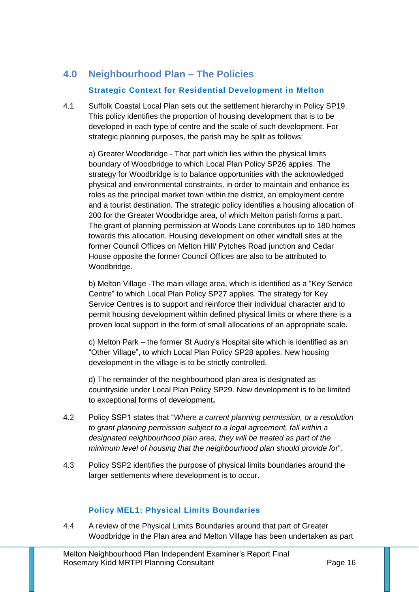# **4.0 Neighbourhood Plan – The Policies**

## **Strategic Context for Residential Development in Melton**

4.1 Suffolk Coastal Local Plan sets out the settlement hierarchy in Policy SP19. This policy identifies the proportion of housing development that is to be developed in each type of centre and the scale of such development. For strategic planning purposes, the parish may be split as follows:

a) Greater Woodbridge - That part which lies within the physical limits boundary of Woodbridge to which Local Plan Policy SP26 applies. The strategy for Woodbridge is to balance opportunities with the acknowledged physical and environmental constraints, in order to maintain and enhance its roles as the principal market town within the district, an employment centre and a tourist destination. The strategic policy identifies a housing allocation of 200 for the Greater Woodbridge area, of which Melton parish forms a part. The grant of planning permission at Woods Lane contributes up to 180 homes towards this allocation. Housing development on other windfall sites at the former Council Offices on Melton Hill/ Pytches Road junction and Cedar House opposite the former Council Offices are also to be attributed to Woodbridge.

b) Melton Village -The main village area, which is identified as a "Key Service Centre" to which Local Plan Policy SP27 applies. The strategy for Key Service Centres is to support and reinforce their individual character and to permit housing development within defined physical limits or where there is a proven local support in the form of small allocations of an appropriate scale.

c) Melton Park – the former St Audry's Hospital site which is identified as an "Other Village", to which Local Plan Policy SP28 applies. New housing development in the village is to be strictly controlled.

d) The remainder of the neighbourhood plan area is designated as countryside under Local Plan Policy SP29. New development is to be limited to exceptional forms of development**.** 

- 4.2 Policy SSP1 states that "*Where a current planning permission, or a resolution to grant planning permission subject to a legal agreement, fall within a designated neighbourhood plan area, they will be treated as part of the minimum level of housing that the neighbourhood plan should provide for*".
- 4.3 Policy SSP2 identifies the purpose of physical limits boundaries around the larger settlements where development is to occur.

# **Policy MEL1: Physical Limits Boundaries**

4.4 A review of the Physical Limits Boundaries around that part of Greater Woodbridge in the Plan area and Melton Village has been undertaken as part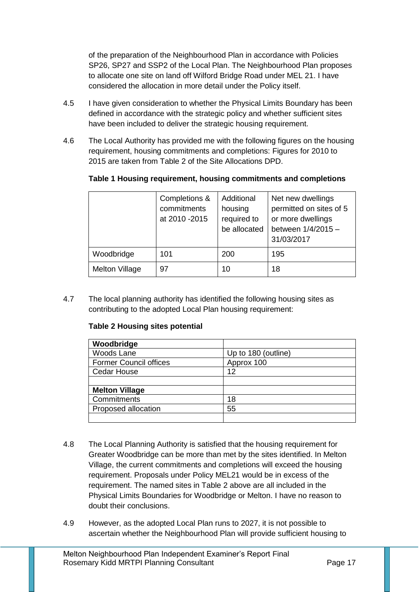of the preparation of the Neighbourhood Plan in accordance with Policies SP26, SP27 and SSP2 of the Local Plan. The Neighbourhood Plan proposes to allocate one site on land off Wilford Bridge Road under MEL 21. I have considered the allocation in more detail under the Policy itself.

- 4.5 I have given consideration to whether the Physical Limits Boundary has been defined in accordance with the strategic policy and whether sufficient sites have been included to deliver the strategic housing requirement.
- 4.6 The Local Authority has provided me with the following figures on the housing requirement, housing commitments and completions: Figures for 2010 to 2015 are taken from Table 2 of the Site Allocations DPD.

|  |  | Table 1 Housing requirement, housing commitments and completions |  |
|--|--|------------------------------------------------------------------|--|
|  |  |                                                                  |  |

|                       | Completions &<br>commitments<br>at 2010 - 2015 | Additional<br>housing<br>required to<br>be allocated | Net new dwellings<br>permitted on sites of 5<br>or more dwellings<br>between 1/4/2015 -<br>31/03/2017 |
|-----------------------|------------------------------------------------|------------------------------------------------------|-------------------------------------------------------------------------------------------------------|
| Woodbridge            | 101                                            | 200                                                  | 195                                                                                                   |
| <b>Melton Village</b> | 97                                             | 10                                                   | 18                                                                                                    |

4.7 The local planning authority has identified the following housing sites as contributing to the adopted Local Plan housing requirement:

## **Table 2 Housing sites potential**

| Woodbridge                    |                     |
|-------------------------------|---------------------|
| <b>Woods Lane</b>             | Up to 180 (outline) |
| <b>Former Council offices</b> | Approx 100          |
| <b>Cedar House</b>            | 12                  |
|                               |                     |
| <b>Melton Village</b>         |                     |
| Commitments                   | 18                  |
| Proposed allocation           | 55                  |
|                               |                     |

- 4.8 The Local Planning Authority is satisfied that the housing requirement for Greater Woodbridge can be more than met by the sites identified. In Melton Village, the current commitments and completions will exceed the housing requirement. Proposals under Policy MEL21 would be in excess of the requirement. The named sites in Table 2 above are all included in the Physical Limits Boundaries for Woodbridge or Melton. I have no reason to doubt their conclusions.
- 4.9 However, as the adopted Local Plan runs to 2027, it is not possible to ascertain whether the Neighbourhood Plan will provide sufficient housing to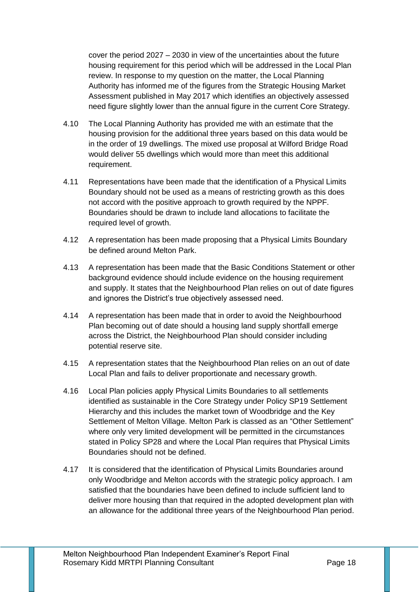cover the period 2027 – 2030 in view of the uncertainties about the future housing requirement for this period which will be addressed in the Local Plan review. In response to my question on the matter, the Local Planning Authority has informed me of the figures from the Strategic Housing Market Assessment published in May 2017 which identifies an objectively assessed need figure slightly lower than the annual figure in the current Core Strategy.

- 4.10 The Local Planning Authority has provided me with an estimate that the housing provision for the additional three years based on this data would be in the order of 19 dwellings. The mixed use proposal at Wilford Bridge Road would deliver 55 dwellings which would more than meet this additional requirement.
- 4.11 Representations have been made that the identification of a Physical Limits Boundary should not be used as a means of restricting growth as this does not accord with the positive approach to growth required by the NPPF. Boundaries should be drawn to include land allocations to facilitate the required level of growth.
- 4.12 A representation has been made proposing that a Physical Limits Boundary be defined around Melton Park.
- 4.13 A representation has been made that the Basic Conditions Statement or other background evidence should include evidence on the housing requirement and supply. It states that the Neighbourhood Plan relies on out of date figures and ignores the District's true objectively assessed need.
- 4.14 A representation has been made that in order to avoid the Neighbourhood Plan becoming out of date should a housing land supply shortfall emerge across the District, the Neighbourhood Plan should consider including potential reserve site.
- 4.15 A representation states that the Neighbourhood Plan relies on an out of date Local Plan and fails to deliver proportionate and necessary growth.
- 4.16 Local Plan policies apply Physical Limits Boundaries to all settlements identified as sustainable in the Core Strategy under Policy SP19 Settlement Hierarchy and this includes the market town of Woodbridge and the Key Settlement of Melton Village. Melton Park is classed as an "Other Settlement" where only very limited development will be permitted in the circumstances stated in Policy SP28 and where the Local Plan requires that Physical Limits Boundaries should not be defined.
- 4.17 It is considered that the identification of Physical Limits Boundaries around only Woodbridge and Melton accords with the strategic policy approach. I am satisfied that the boundaries have been defined to include sufficient land to deliver more housing than that required in the adopted development plan with an allowance for the additional three years of the Neighbourhood Plan period.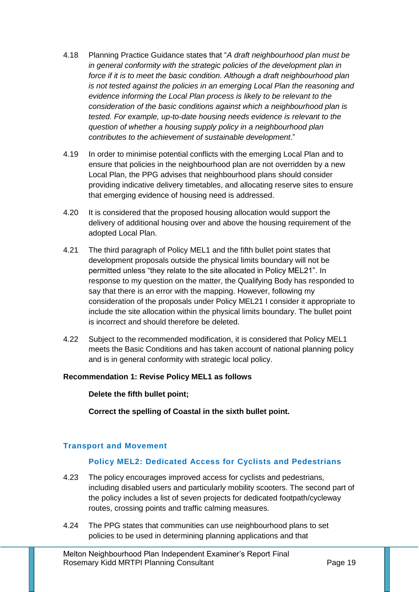- 4.18 Planning Practice Guidance states that "*A draft neighbourhood plan must be in general conformity with the strategic policies of the development plan in force if it is to meet the [basic condition.](https://www.gov.uk/guidance/neighbourhood-planning--2#basic-conditions-for-neighbourhood-plan-to-referendum) Although a draft neighbourhood plan is not tested against the policies in an emerging Local Plan the reasoning and evidence informing the Local Plan process is likely to be relevant to the consideration of the basic conditions against which a neighbourhood plan is tested. For example, [up-to-date housing needs evidence](https://www.gov.uk/guidance/neighbourhood-planning--2#evidence-to-support-a-neighbourhood-plan) is relevant to the question of whether a housing supply policy in a neighbourhood plan contributes to the achievement of sustainable development*."
- 4.19 In order to minimise potential conflicts with the emerging Local Plan and to ensure that policies in the neighbourhood plan are not overridden by a new Local Plan, the PPG advises that neighbourhood plans should consider providing indicative delivery timetables, and allocating reserve sites to ensure that emerging evidence of housing need is addressed.
- 4.20 It is considered that the proposed housing allocation would support the delivery of additional housing over and above the housing requirement of the adopted Local Plan.
- 4.21 The third paragraph of Policy MEL1 and the fifth bullet point states that development proposals outside the physical limits boundary will not be permitted unless "they relate to the site allocated in Policy MEL21". In response to my question on the matter, the Qualifying Body has responded to say that there is an error with the mapping. However, following my consideration of the proposals under Policy MEL21 I consider it appropriate to include the site allocation within the physical limits boundary. The bullet point is incorrect and should therefore be deleted.
- 4.22 Subject to the recommended modification, it is considered that Policy MEL1 meets the Basic Conditions and has taken account of national planning policy and is in general conformity with strategic local policy.

#### **Recommendation 1: Revise Policy MEL1 as follows**

**Delete the fifth bullet point;**

**Correct the spelling of Coastal in the sixth bullet point.**

#### **Transport and Movement**

#### **Policy MEL2: Dedicated Access for Cyclists and Pedestrians**

- 4.23 The policy encourages improved access for cyclists and pedestrians, including disabled users and particularly mobility scooters. The second part of the policy includes a list of seven projects for dedicated footpath/cycleway routes, crossing points and traffic calming measures.
- 4.24 The PPG states that communities can use neighbourhood plans to set policies to be used in determining planning applications and that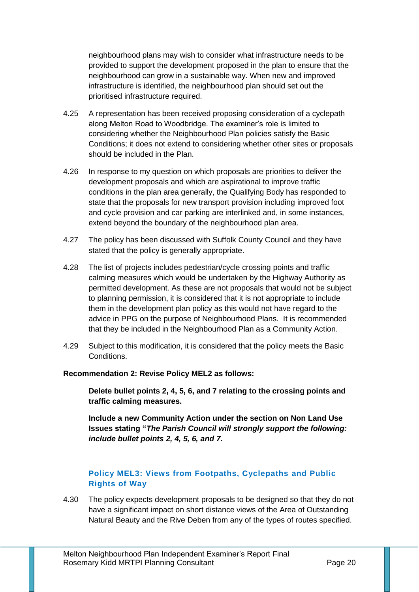neighbourhood plans may wish to consider what infrastructure needs to be provided to support the development proposed in the plan to ensure that the neighbourhood can grow in a sustainable way. When new and improved infrastructure is identified, the neighbourhood plan should set out the prioritised infrastructure required.

- 4.25 A representation has been received proposing consideration of a cyclepath along Melton Road to Woodbridge. The examiner's role is limited to considering whether the Neighbourhood Plan policies satisfy the Basic Conditions; it does not extend to considering whether other sites or proposals should be included in the Plan.
- 4.26 In response to my question on which proposals are priorities to deliver the development proposals and which are aspirational to improve traffic conditions in the plan area generally, the Qualifying Body has responded to state that the proposals for new transport provision including improved foot and cycle provision and car parking are interlinked and, in some instances, extend beyond the boundary of the neighbourhood plan area.
- 4.27 The policy has been discussed with Suffolk County Council and they have stated that the policy is generally appropriate.
- 4.28 The list of projects includes pedestrian/cycle crossing points and traffic calming measures which would be undertaken by the Highway Authority as permitted development. As these are not proposals that would not be subject to planning permission, it is considered that it is not appropriate to include them in the development plan policy as this would not have regard to the advice in PPG on the purpose of Neighbourhood Plans. It is recommended that they be included in the Neighbourhood Plan as a Community Action.
- 4.29 Subject to this modification, it is considered that the policy meets the Basic Conditions.

#### **Recommendation 2: Revise Policy MEL2 as follows:**

**Delete bullet points 2, 4, 5, 6, and 7 relating to the crossing points and traffic calming measures.** 

**Include a new Community Action under the section on Non Land Use Issues stating "***The Parish Council will strongly support the following: include bullet points 2, 4, 5, 6, and 7.*

# **Policy MEL3: Views from Footpaths, Cyclepaths and Public Rights of Way**

4.30 The policy expects development proposals to be designed so that they do not have a significant impact on short distance views of the Area of Outstanding Natural Beauty and the Rive Deben from any of the types of routes specified.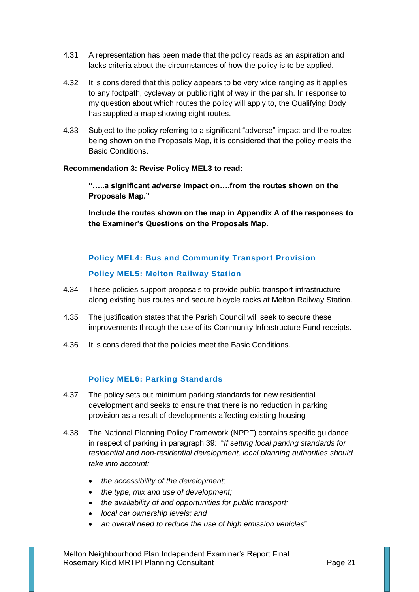- 4.31 A representation has been made that the policy reads as an aspiration and lacks criteria about the circumstances of how the policy is to be applied.
- 4.32 It is considered that this policy appears to be very wide ranging as it applies to any footpath, cycleway or public right of way in the parish. In response to my question about which routes the policy will apply to, the Qualifying Body has supplied a map showing eight routes.
- 4.33 Subject to the policy referring to a significant "adverse" impact and the routes being shown on the Proposals Map, it is considered that the policy meets the Basic Conditions.

#### **Recommendation 3: Revise Policy MEL3 to read:**

**"…..a significant** *adverse* **impact on….from the routes shown on the Proposals Map."**

**Include the routes shown on the map in Appendix A of the responses to the Examiner's Questions on the Proposals Map.**

# **Policy MEL4: Bus and Community Transport Provision**

# **Policy MEL5: Melton Railway Station**

- 4.34 These policies support proposals to provide public transport infrastructure along existing bus routes and secure bicycle racks at Melton Railway Station.
- 4.35 The justification states that the Parish Council will seek to secure these improvements through the use of its Community Infrastructure Fund receipts.
- 4.36 It is considered that the policies meet the Basic Conditions.

# **Policy MEL6: Parking Standards**

- 4.37 The policy sets out minimum parking standards for new residential development and seeks to ensure that there is no reduction in parking provision as a result of developments affecting existing housing
- 4.38 The National Planning Policy Framework (NPPF) contains specific guidance in respect of parking in paragraph 39: "*If setting local parking standards for residential and non-residential development, local planning authorities should take into account:*
	- *the accessibility of the development;*
	- *the type, mix and use of development;*
	- *the availability of and opportunities for public transport;*
	- *local car ownership levels; and*
	- *an overall need to reduce the use of high emission vehicles*".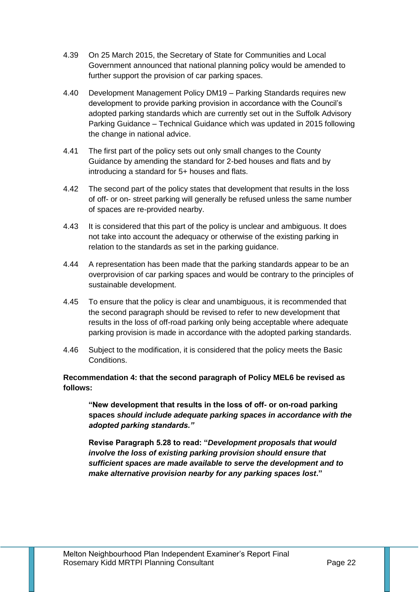- 4.39 On 25 March 2015, the Secretary of State for Communities and Local Government announced that national planning policy would be amended to further support the provision of car parking spaces.
- 4.40 Development Management Policy DM19 Parking Standards requires new development to provide parking provision in accordance with the Council's adopted parking standards which are currently set out in the Suffolk Advisory Parking Guidance – Technical Guidance which was updated in 2015 following the change in national advice.
- 4.41 The first part of the policy sets out only small changes to the County Guidance by amending the standard for 2-bed houses and flats and by introducing a standard for 5+ houses and flats.
- 4.42 The second part of the policy states that development that results in the loss of off- or on- street parking will generally be refused unless the same number of spaces are re-provided nearby.
- 4.43 It is considered that this part of the policy is unclear and ambiguous. It does not take into account the adequacy or otherwise of the existing parking in relation to the standards as set in the parking guidance.
- 4.44 A representation has been made that the parking standards appear to be an overprovision of car parking spaces and would be contrary to the principles of sustainable development.
- 4.45 To ensure that the policy is clear and unambiguous, it is recommended that the second paragraph should be revised to refer to new development that results in the loss of off-road parking only being acceptable where adequate parking provision is made in accordance with the adopted parking standards.
- 4.46 Subject to the modification, it is considered that the policy meets the Basic Conditions.

## **Recommendation 4: that the second paragraph of Policy MEL6 be revised as follows:**

**"New development that results in the loss of off- or on-road parking spaces** *should include adequate parking spaces in accordance with the adopted parking standards."*

**Revise Paragraph 5.28 to read: "***Development proposals that would involve the loss of existing parking provision should ensure that sufficient spaces are made available to serve the development and to make alternative provision nearby for any parking spaces lost***."**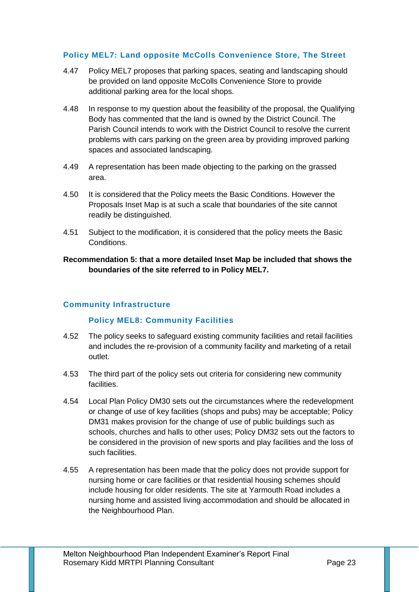#### **Policy MEL7: Land opposite McColls Convenience Store, The Street**

- 4.47 Policy MEL7 proposes that parking spaces, seating and landscaping should be provided on land opposite McColls Convenience Store to provide additional parking area for the local shops.
- 4.48 In response to my question about the feasibility of the proposal, the Qualifying Body has commented that the land is owned by the District Council. The Parish Council intends to work with the District Council to resolve the current problems with cars parking on the green area by providing improved parking spaces and associated landscaping.
- 4.49 A representation has been made objecting to the parking on the grassed area.
- 4.50 It is considered that the Policy meets the Basic Conditions. However the Proposals Inset Map is at such a scale that boundaries of the site cannot readily be distinguished.
- 4.51 Subject to the modification, it is considered that the policy meets the Basic Conditions.

**Recommendation 5: that a more detailed Inset Map be included that shows the boundaries of the site referred to in Policy MEL7.** 

#### **Community Infrastructure**

## **Policy MEL8: Community Facilities**

- 4.52 The policy seeks to safeguard existing community facilities and retail facilities and includes the re-provision of a community facility and marketing of a retail outlet.
- 4.53 The third part of the policy sets out criteria for considering new community facilities.
- 4.54 Local Plan Policy DM30 sets out the circumstances where the redevelopment or change of use of key facilities (shops and pubs) may be acceptable; Policy DM31 makes provision for the change of use of public buildings such as schools, churches and halls to other uses; Policy DM32 sets out the factors to be considered in the provision of new sports and play facilities and the loss of such facilities.
- 4.55 A representation has been made that the policy does not provide support for nursing home or care facilities or that residential housing schemes should include housing for older residents. The site at Yarmouth Road includes a nursing home and assisted living accommodation and should be allocated in the Neighbourhood Plan.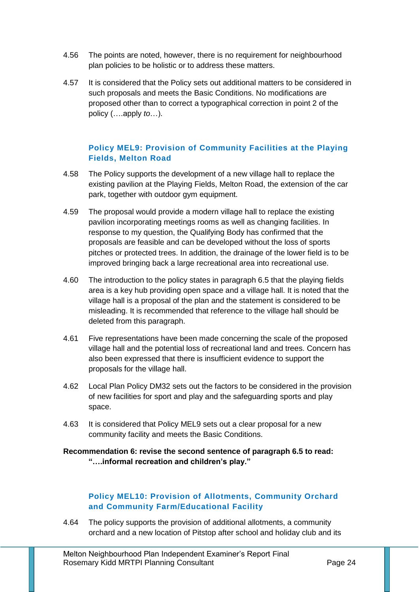- 4.56 The points are noted, however, there is no requirement for neighbourhood plan policies to be holistic or to address these matters.
- 4.57 It is considered that the Policy sets out additional matters to be considered in such proposals and meets the Basic Conditions. No modifications are proposed other than to correct a typographical correction in point 2 of the policy (….apply *to*…).

## **Policy MEL9: Provision of Community Facilities at the Playing Fields, Melton Road**

- 4.58 The Policy supports the development of a new village hall to replace the existing pavilion at the Playing Fields, Melton Road, the extension of the car park, together with outdoor gym equipment.
- 4.59 The proposal would provide a modern village hall to replace the existing pavilion incorporating meetings rooms as well as changing facilities. In response to my question, the Qualifying Body has confirmed that the proposals are feasible and can be developed without the loss of sports pitches or protected trees. In addition, the drainage of the lower field is to be improved bringing back a large recreational area into recreational use.
- 4.60 The introduction to the policy states in paragraph 6.5 that the playing fields area is a key hub providing open space and a village hall. It is noted that the village hall is a proposal of the plan and the statement is considered to be misleading. It is recommended that reference to the village hall should be deleted from this paragraph.
- 4.61 Five representations have been made concerning the scale of the proposed village hall and the potential loss of recreational land and trees. Concern has also been expressed that there is insufficient evidence to support the proposals for the village hall.
- 4.62 Local Plan Policy DM32 sets out the factors to be considered in the provision of new facilities for sport and play and the safeguarding sports and play space.
- 4.63 It is considered that Policy MEL9 sets out a clear proposal for a new community facility and meets the Basic Conditions.

#### **Recommendation 6: revise the second sentence of paragraph 6.5 to read: "….informal recreation and children's play."**

# **Policy MEL10: Provision of Allotments, Community Orchard and Community Farm/Educational Facility**

4.64 The policy supports the provision of additional allotments, a community orchard and a new location of Pitstop after school and holiday club and its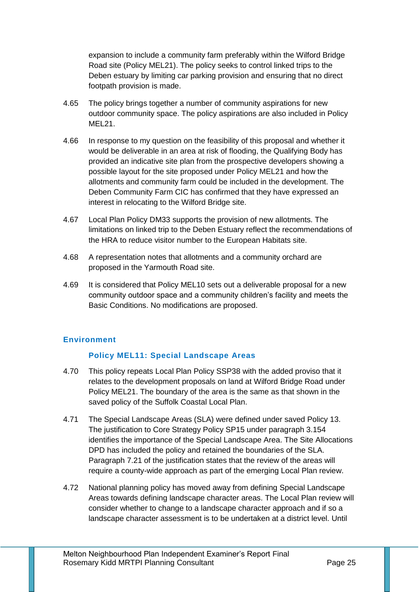expansion to include a community farm preferably within the Wilford Bridge Road site (Policy MEL21). The policy seeks to control linked trips to the Deben estuary by limiting car parking provision and ensuring that no direct footpath provision is made.

- 4.65 The policy brings together a number of community aspirations for new outdoor community space. The policy aspirations are also included in Policy MEL21.
- 4.66 In response to my question on the feasibility of this proposal and whether it would be deliverable in an area at risk of flooding, the Qualifying Body has provided an indicative site plan from the prospective developers showing a possible layout for the site proposed under Policy MEL21 and how the allotments and community farm could be included in the development. The Deben Community Farm CIC has confirmed that they have expressed an interest in relocating to the Wilford Bridge site.
- 4.67 Local Plan Policy DM33 supports the provision of new allotments. The limitations on linked trip to the Deben Estuary reflect the recommendations of the HRA to reduce visitor number to the European Habitats site.
- 4.68 A representation notes that allotments and a community orchard are proposed in the Yarmouth Road site.
- 4.69 It is considered that Policy MEL10 sets out a deliverable proposal for a new community outdoor space and a community children's facility and meets the Basic Conditions. No modifications are proposed.

## **Environment**

## **Policy MEL11: Special Landscape Areas**

- 4.70 This policy repeats Local Plan Policy SSP38 with the added proviso that it relates to the development proposals on land at Wilford Bridge Road under Policy MEL21. The boundary of the area is the same as that shown in the saved policy of the Suffolk Coastal Local Plan.
- 4.71 The Special Landscape Areas (SLA) were defined under saved Policy 13. The justification to Core Strategy Policy SP15 under paragraph 3.154 identifies the importance of the Special Landscape Area. The Site Allocations DPD has included the policy and retained the boundaries of the SLA. Paragraph 7.21 of the justification states that the review of the areas will require a county-wide approach as part of the emerging Local Plan review.
- 4.72 National planning policy has moved away from defining Special Landscape Areas towards defining landscape character areas. The Local Plan review will consider whether to change to a landscape character approach and if so a landscape character assessment is to be undertaken at a district level. Until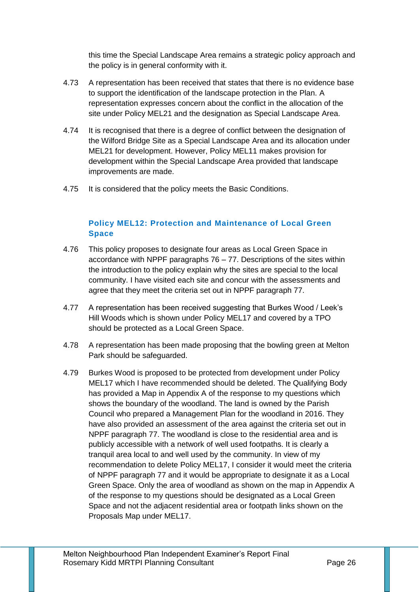this time the Special Landscape Area remains a strategic policy approach and the policy is in general conformity with it.

- 4.73 A representation has been received that states that there is no evidence base to support the identification of the landscape protection in the Plan. A representation expresses concern about the conflict in the allocation of the site under Policy MEL21 and the designation as Special Landscape Area.
- 4.74 It is recognised that there is a degree of conflict between the designation of the Wilford Bridge Site as a Special Landscape Area and its allocation under MEL21 for development. However, Policy MEL11 makes provision for development within the Special Landscape Area provided that landscape improvements are made.
- 4.75 It is considered that the policy meets the Basic Conditions.

# **Policy MEL12: Protection and Maintenance of Local Green Space**

- 4.76 This policy proposes to designate four areas as Local Green Space in accordance with NPPF paragraphs 76 – 77. Descriptions of the sites within the introduction to the policy explain why the sites are special to the local community. I have visited each site and concur with the assessments and agree that they meet the criteria set out in NPPF paragraph 77.
- 4.77 A representation has been received suggesting that Burkes Wood / Leek's Hill Woods which is shown under Policy MEL17 and covered by a TPO should be protected as a Local Green Space.
- 4.78 A representation has been made proposing that the bowling green at Melton Park should be safeguarded.
- 4.79 Burkes Wood is proposed to be protected from development under Policy MEL17 which I have recommended should be deleted. The Qualifying Body has provided a Map in Appendix A of the response to my questions which shows the boundary of the woodland. The land is owned by the Parish Council who prepared a Management Plan for the woodland in 2016. They have also provided an assessment of the area against the criteria set out in NPPF paragraph 77. The woodland is close to the residential area and is publicly accessible with a network of well used footpaths. It is clearly a tranquil area local to and well used by the community. In view of my recommendation to delete Policy MEL17, I consider it would meet the criteria of NPPF paragraph 77 and it would be appropriate to designate it as a Local Green Space. Only the area of woodland as shown on the map in Appendix A of the response to my questions should be designated as a Local Green Space and not the adjacent residential area or footpath links shown on the Proposals Map under MEL17.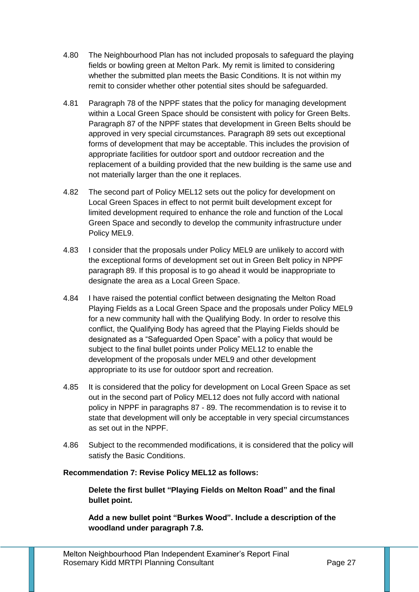- 4.80 The Neighbourhood Plan has not included proposals to safeguard the playing fields or bowling green at Melton Park. My remit is limited to considering whether the submitted plan meets the Basic Conditions. It is not within my remit to consider whether other potential sites should be safeguarded.
- 4.81 Paragraph 78 of the NPPF states that the policy for managing development within a Local Green Space should be consistent with policy for Green Belts. Paragraph 87 of the NPPF states that development in Green Belts should be approved in very special circumstances. Paragraph 89 sets out exceptional forms of development that may be acceptable. This includes the provision of appropriate facilities for outdoor sport and outdoor recreation and the replacement of a building provided that the new building is the same use and not materially larger than the one it replaces.
- 4.82 The second part of Policy MEL12 sets out the policy for development on Local Green Spaces in effect to not permit built development except for limited development required to enhance the role and function of the Local Green Space and secondly to develop the community infrastructure under Policy MEL9.
- 4.83 I consider that the proposals under Policy MEL9 are unlikely to accord with the exceptional forms of development set out in Green Belt policy in NPPF paragraph 89. If this proposal is to go ahead it would be inappropriate to designate the area as a Local Green Space.
- 4.84 I have raised the potential conflict between designating the Melton Road Playing Fields as a Local Green Space and the proposals under Policy MEL9 for a new community hall with the Qualifying Body. In order to resolve this conflict, the Qualifying Body has agreed that the Playing Fields should be designated as a "Safeguarded Open Space" with a policy that would be subject to the final bullet points under Policy MEL12 to enable the development of the proposals under MEL9 and other development appropriate to its use for outdoor sport and recreation.
- 4.85 It is considered that the policy for development on Local Green Space as set out in the second part of Policy MEL12 does not fully accord with national policy in NPPF in paragraphs 87 - 89. The recommendation is to revise it to state that development will only be acceptable in very special circumstances as set out in the NPPF.
- 4.86 Subject to the recommended modifications, it is considered that the policy will satisfy the Basic Conditions.

#### **Recommendation 7: Revise Policy MEL12 as follows:**

**Delete the first bullet "Playing Fields on Melton Road" and the final bullet point.**

**Add a new bullet point "Burkes Wood". Include a description of the woodland under paragraph 7.8.**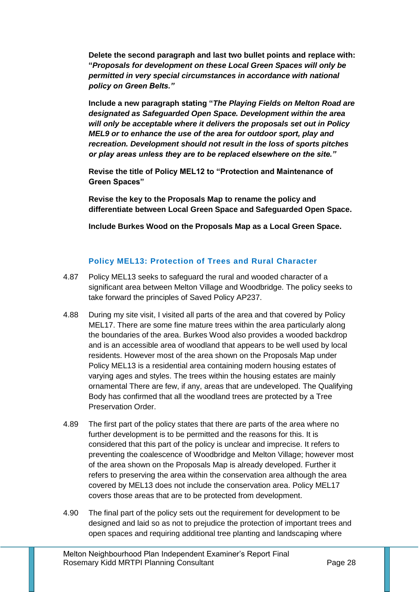**Delete the second paragraph and last two bullet points and replace with: "***Proposals for development on these Local Green Spaces will only be permitted in very special circumstances in accordance with national policy on Green Belts."*

**Include a new paragraph stating "***The Playing Fields on Melton Road are designated as Safeguarded Open Space. Development within the area will only be acceptable where it delivers the proposals set out in Policy MEL9 or to enhance the use of the area for outdoor sport, play and recreation. Development should not result in the loss of sports pitches or play areas unless they are to be replaced elsewhere on the site."*

**Revise the title of Policy MEL12 to "Protection and Maintenance of Green Spaces"** 

**Revise the key to the Proposals Map to rename the policy and differentiate between Local Green Space and Safeguarded Open Space.**

**Include Burkes Wood on the Proposals Map as a Local Green Space.**

# **Policy MEL13: Protection of Trees and Rural Character**

- 4.87 Policy MEL13 seeks to safeguard the rural and wooded character of a significant area between Melton Village and Woodbridge. The policy seeks to take forward the principles of Saved Policy AP237.
- 4.88 During my site visit, I visited all parts of the area and that covered by Policy MEL17. There are some fine mature trees within the area particularly along the boundaries of the area. Burkes Wood also provides a wooded backdrop and is an accessible area of woodland that appears to be well used by local residents. However most of the area shown on the Proposals Map under Policy MEL13 is a residential area containing modern housing estates of varying ages and styles. The trees within the housing estates are mainly ornamental There are few, if any, areas that are undeveloped. The Qualifying Body has confirmed that all the woodland trees are protected by a Tree Preservation Order.
- 4.89 The first part of the policy states that there are parts of the area where no further development is to be permitted and the reasons for this. It is considered that this part of the policy is unclear and imprecise. It refers to preventing the coalescence of Woodbridge and Melton Village; however most of the area shown on the Proposals Map is already developed. Further it refers to preserving the area within the conservation area although the area covered by MEL13 does not include the conservation area. Policy MEL17 covers those areas that are to be protected from development.
- 4.90 The final part of the policy sets out the requirement for development to be designed and laid so as not to prejudice the protection of important trees and open spaces and requiring additional tree planting and landscaping where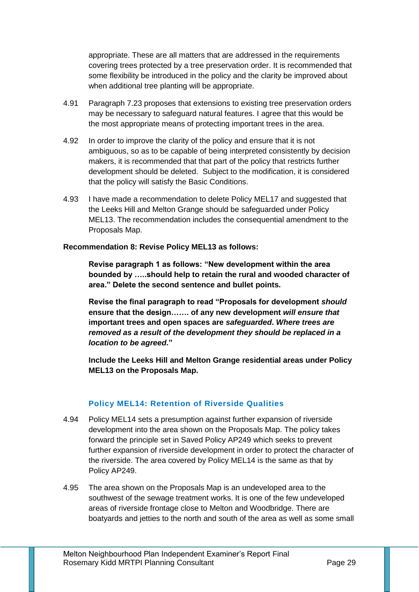appropriate. These are all matters that are addressed in the requirements covering trees protected by a tree preservation order. It is recommended that some flexibility be introduced in the policy and the clarity be improved about when additional tree planting will be appropriate.

- 4.91 Paragraph 7.23 proposes that extensions to existing tree preservation orders may be necessary to safeguard natural features. I agree that this would be the most appropriate means of protecting important trees in the area.
- 4.92 In order to improve the clarity of the policy and ensure that it is not ambiguous, so as to be capable of being interpreted consistently by decision makers, it is recommended that that part of the policy that restricts further development should be deleted. Subject to the modification, it is considered that the policy will satisfy the Basic Conditions.
- 4.93 I have made a recommendation to delete Policy MEL17 and suggested that the Leeks Hill and Melton Grange should be safeguarded under Policy MEL13. The recommendation includes the consequential amendment to the Proposals Map.

#### **Recommendation 8: Revise Policy MEL13 as follows:**

**Revise paragraph 1 as follows: "New development within the area bounded by …..should help to retain the rural and wooded character of area." Delete the second sentence and bullet points.**

**Revise the final paragraph to read "Proposals for development** *should* **ensure that the design……. of any new development** *will ensure that*  **important trees and open spaces are** *safeguarded***.** *Where trees are removed as a result of the development they should be replaced in a location to be agreed***."**

**Include the Leeks Hill and Melton Grange residential areas under Policy MEL13 on the Proposals Map.**

## **Policy MEL14: Retention of Riverside Qualities**

- 4.94 Policy MEL14 sets a presumption against further expansion of riverside development into the area shown on the Proposals Map. The policy takes forward the principle set in Saved Policy AP249 which seeks to prevent further expansion of riverside development in order to protect the character of the riverside. The area covered by Policy MEL14 is the same as that by Policy AP249.
- 4.95 The area shown on the Proposals Map is an undeveloped area to the southwest of the sewage treatment works. It is one of the few undeveloped areas of riverside frontage close to Melton and Woodbridge. There are boatyards and jetties to the north and south of the area as well as some small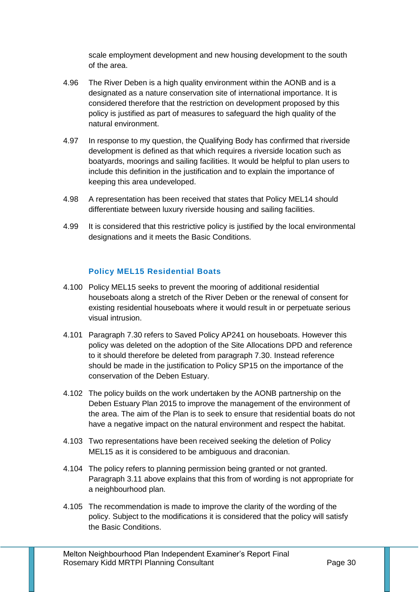scale employment development and new housing development to the south of the area.

- 4.96 The River Deben is a high quality environment within the AONB and is a designated as a nature conservation site of international importance. It is considered therefore that the restriction on development proposed by this policy is justified as part of measures to safeguard the high quality of the natural environment.
- 4.97 In response to my question, the Qualifying Body has confirmed that riverside development is defined as that which requires a riverside location such as boatyards, moorings and sailing facilities. It would be helpful to plan users to include this definition in the justification and to explain the importance of keeping this area undeveloped.
- 4.98 A representation has been received that states that Policy MEL14 should differentiate between luxury riverside housing and sailing facilities.
- 4.99 It is considered that this restrictive policy is justified by the local environmental designations and it meets the Basic Conditions.

## **Policy MEL15 Residential Boats**

- 4.100 Policy MEL15 seeks to prevent the mooring of additional residential houseboats along a stretch of the River Deben or the renewal of consent for existing residential houseboats where it would result in or perpetuate serious visual intrusion.
- 4.101 Paragraph 7.30 refers to Saved Policy AP241 on houseboats. However this policy was deleted on the adoption of the Site Allocations DPD and reference to it should therefore be deleted from paragraph 7.30. Instead reference should be made in the justification to Policy SP15 on the importance of the conservation of the Deben Estuary.
- 4.102 The policy builds on the work undertaken by the AONB partnership on the Deben Estuary Plan 2015 to improve the management of the environment of the area. The aim of the Plan is to seek to ensure that residential boats do not have a negative impact on the natural environment and respect the habitat.
- 4.103 Two representations have been received seeking the deletion of Policy MEL15 as it is considered to be ambiguous and draconian.
- 4.104 The policy refers to planning permission being granted or not granted. Paragraph 3.11 above explains that this from of wording is not appropriate for a neighbourhood plan.
- 4.105 The recommendation is made to improve the clarity of the wording of the policy. Subject to the modifications it is considered that the policy will satisfy the Basic Conditions.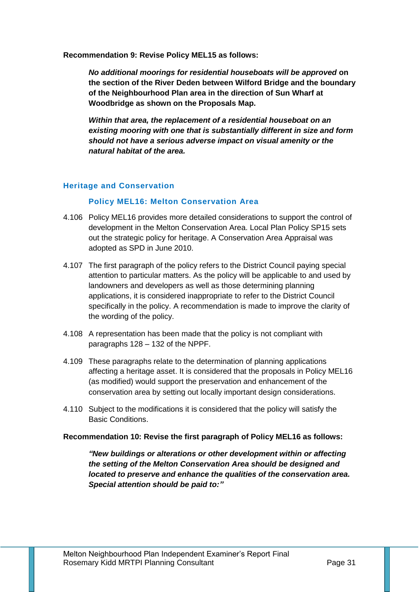**Recommendation 9: Revise Policy MEL15 as follows:**

*No additional moorings for residential houseboats will be approved* **on the section of the River Deden between Wilford Bridge and the boundary of the Neighbourhood Plan area in the direction of Sun Wharf at Woodbridge as shown on the Proposals Map.** 

*Within that area, the replacement of a residential houseboat on an existing mooring with one that is substantially different in size and form should not have a serious adverse impact on visual amenity or the natural habitat of the area.* 

#### **Heritage and Conservation**

#### **Policy MEL16: Melton Conservation Area**

- 4.106 Policy MEL16 provides more detailed considerations to support the control of development in the Melton Conservation Area. Local Plan Policy SP15 sets out the strategic policy for heritage. A Conservation Area Appraisal was adopted as SPD in June 2010.
- 4.107 The first paragraph of the policy refers to the District Council paying special attention to particular matters. As the policy will be applicable to and used by landowners and developers as well as those determining planning applications, it is considered inappropriate to refer to the District Council specifically in the policy. A recommendation is made to improve the clarity of the wording of the policy.
- 4.108 A representation has been made that the policy is not compliant with paragraphs 128 – 132 of the NPPF.
- 4.109 These paragraphs relate to the determination of planning applications affecting a heritage asset. It is considered that the proposals in Policy MEL16 (as modified) would support the preservation and enhancement of the conservation area by setting out locally important design considerations.
- 4.110 Subject to the modifications it is considered that the policy will satisfy the Basic Conditions.

#### **Recommendation 10: Revise the first paragraph of Policy MEL16 as follows:**

*"New buildings or alterations or other development within or affecting the setting of the Melton Conservation Area should be designed and located to preserve and enhance the qualities of the conservation area. Special attention should be paid to:"*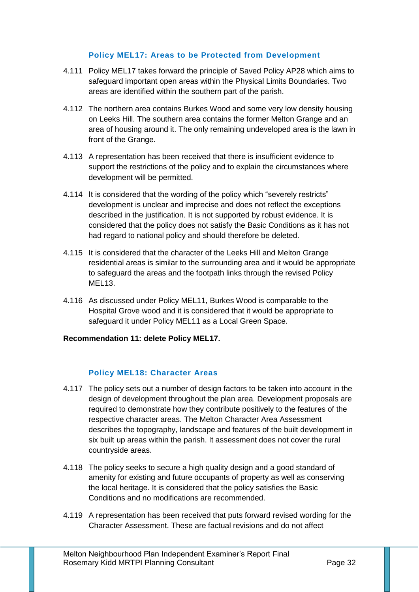## **Policy MEL17: Areas to be Protected from Development**

- 4.111 Policy MEL17 takes forward the principle of Saved Policy AP28 which aims to safeguard important open areas within the Physical Limits Boundaries. Two areas are identified within the southern part of the parish.
- 4.112 The northern area contains Burkes Wood and some very low density housing on Leeks Hill. The southern area contains the former Melton Grange and an area of housing around it. The only remaining undeveloped area is the lawn in front of the Grange.
- 4.113 A representation has been received that there is insufficient evidence to support the restrictions of the policy and to explain the circumstances where development will be permitted.
- 4.114 It is considered that the wording of the policy which "severely restricts" development is unclear and imprecise and does not reflect the exceptions described in the justification. It is not supported by robust evidence. It is considered that the policy does not satisfy the Basic Conditions as it has not had regard to national policy and should therefore be deleted.
- 4.115 It is considered that the character of the Leeks Hill and Melton Grange residential areas is similar to the surrounding area and it would be appropriate to safeguard the areas and the footpath links through the revised Policy MEL13.
- 4.116 As discussed under Policy MEL11, Burkes Wood is comparable to the Hospital Grove wood and it is considered that it would be appropriate to safeguard it under Policy MEL11 as a Local Green Space.

#### **Recommendation 11: delete Policy MEL17.**

#### **Policy MEL18: Character Areas**

- 4.117 The policy sets out a number of design factors to be taken into account in the design of development throughout the plan area. Development proposals are required to demonstrate how they contribute positively to the features of the respective character areas. The Melton Character Area Assessment describes the topography, landscape and features of the built development in six built up areas within the parish. It assessment does not cover the rural countryside areas.
- 4.118 The policy seeks to secure a high quality design and a good standard of amenity for existing and future occupants of property as well as conserving the local heritage. It is considered that the policy satisfies the Basic Conditions and no modifications are recommended.
- 4.119 A representation has been received that puts forward revised wording for the Character Assessment. These are factual revisions and do not affect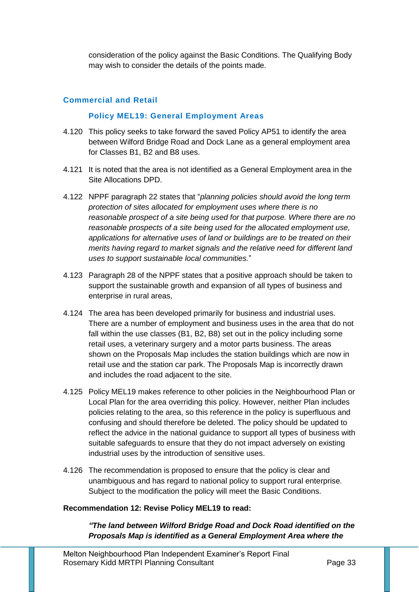consideration of the policy against the Basic Conditions. The Qualifying Body may wish to consider the details of the points made.

#### **Commercial and Retail**

#### **Policy MEL19: General Employment Areas**

- 4.120 This policy seeks to take forward the saved Policy AP51 to identify the area between Wilford Bridge Road and Dock Lane as a general employment area for Classes B1, B2 and B8 uses.
- 4.121 It is noted that the area is not identified as a General Employment area in the Site Allocations DPD.
- 4.122 NPPF paragraph 22 states that "*planning policies should avoid the long term protection of sites allocated for employment uses where there is no reasonable prospect of a site being used for that purpose. Where there are no reasonable prospects of a site being used for the allocated employment use, applications for alternative uses of land or buildings are to be treated on their merits having regard to market signals and the relative need for different land uses to support sustainable local communities.*"
- 4.123 Paragraph 28 of the NPPF states that a positive approach should be taken to support the sustainable growth and expansion of all types of business and enterprise in rural areas,
- 4.124 The area has been developed primarily for business and industrial uses. There are a number of employment and business uses in the area that do not fall within the use classes (B1, B2, B8) set out in the policy including some retail uses, a veterinary surgery and a motor parts business. The areas shown on the Proposals Map includes the station buildings which are now in retail use and the station car park. The Proposals Map is incorrectly drawn and includes the road adjacent to the site.
- 4.125 Policy MEL19 makes reference to other policies in the Neighbourhood Plan or Local Plan for the area overriding this policy. However, neither Plan includes policies relating to the area, so this reference in the policy is superfluous and confusing and should therefore be deleted. The policy should be updated to reflect the advice in the national guidance to support all types of business with suitable safeguards to ensure that they do not impact adversely on existing industrial uses by the introduction of sensitive uses.
- 4.126 The recommendation is proposed to ensure that the policy is clear and unambiguous and has regard to national policy to support rural enterprise. Subject to the modification the policy will meet the Basic Conditions.

#### **Recommendation 12: Revise Policy MEL19 to read:**

*"The land between Wilford Bridge Road and Dock Road identified on the Proposals Map is identified as a General Employment Area where the*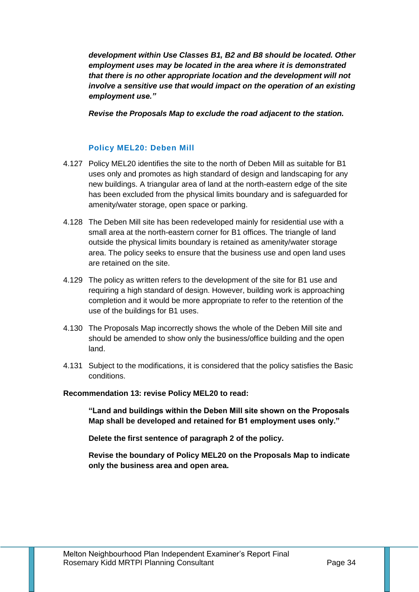*development within Use Classes B1, B2 and B8 should be located. Other employment uses may be located in the area where it is demonstrated that there is no other appropriate location and the development will not involve a sensitive use that would impact on the operation of an existing employment use."*

*Revise the Proposals Map to exclude the road adjacent to the station.* 

## **Policy MEL20: Deben Mill**

- 4.127 Policy MEL20 identifies the site to the north of Deben Mill as suitable for B1 uses only and promotes as high standard of design and landscaping for any new buildings. A triangular area of land at the north-eastern edge of the site has been excluded from the physical limits boundary and is safeguarded for amenity/water storage, open space or parking.
- 4.128 The Deben Mill site has been redeveloped mainly for residential use with a small area at the north-eastern corner for B1 offices. The triangle of land outside the physical limits boundary is retained as amenity/water storage area. The policy seeks to ensure that the business use and open land uses are retained on the site.
- 4.129 The policy as written refers to the development of the site for B1 use and requiring a high standard of design. However, building work is approaching completion and it would be more appropriate to refer to the retention of the use of the buildings for B1 uses.
- 4.130 The Proposals Map incorrectly shows the whole of the Deben Mill site and should be amended to show only the business/office building and the open land.
- 4.131 Subject to the modifications, it is considered that the policy satisfies the Basic conditions.

#### **Recommendation 13: revise Policy MEL20 to read:**

**"Land and buildings within the Deben Mill site shown on the Proposals Map shall be developed and retained for B1 employment uses only."**

**Delete the first sentence of paragraph 2 of the policy.**

**Revise the boundary of Policy MEL20 on the Proposals Map to indicate only the business area and open area.**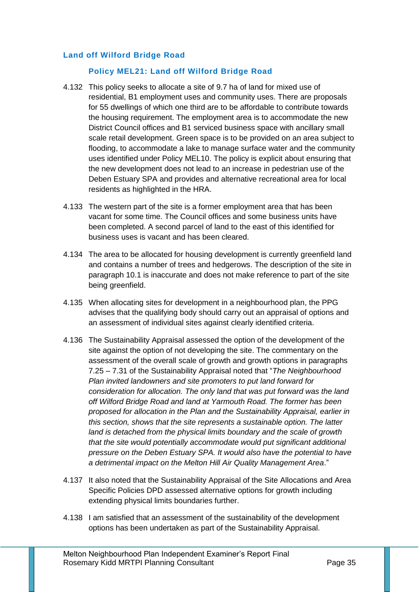## **Land off Wilford Bridge Road**

#### **Policy MEL21: Land off Wilford Bridge Road**

- 4.132 This policy seeks to allocate a site of 9.7 ha of land for mixed use of residential, B1 employment uses and community uses. There are proposals for 55 dwellings of which one third are to be affordable to contribute towards the housing requirement. The employment area is to accommodate the new District Council offices and B1 serviced business space with ancillary small scale retail development. Green space is to be provided on an area subject to flooding, to accommodate a lake to manage surface water and the community uses identified under Policy MEL10. The policy is explicit about ensuring that the new development does not lead to an increase in pedestrian use of the Deben Estuary SPA and provides and alternative recreational area for local residents as highlighted in the HRA.
- 4.133 The western part of the site is a former employment area that has been vacant for some time. The Council offices and some business units have been completed. A second parcel of land to the east of this identified for business uses is vacant and has been cleared.
- 4.134 The area to be allocated for housing development is currently greenfield land and contains a number of trees and hedgerows. The description of the site in paragraph 10.1 is inaccurate and does not make reference to part of the site being greenfield.
- 4.135 When allocating sites for development in a neighbourhood plan, the PPG advises that the qualifying body should carry out an appraisal of options and an assessment of individual sites against clearly identified criteria.
- 4.136 The Sustainability Appraisal assessed the option of the development of the site against the option of not developing the site. The commentary on the assessment of the overall scale of growth and growth options in paragraphs 7.25 – 7.31 of the Sustainability Appraisal noted that "*The Neighbourhood Plan invited landowners and site promoters to put land forward for consideration for allocation. The only land that was put forward was the land off Wilford Bridge Road and land at Yarmouth Road. The former has been proposed for allocation in the Plan and the Sustainability Appraisal, earlier in this section, shows that the site represents a sustainable option. The latter land is detached from the physical limits boundary and the scale of growth that the site would potentially accommodate would put significant additional pressure on the Deben Estuary SPA. It would also have the potential to have a detrimental impact on the Melton Hill Air Quality Management Area*."
- 4.137 It also noted that the Sustainability Appraisal of the Site Allocations and Area Specific Policies DPD assessed alternative options for growth including extending physical limits boundaries further.
- 4.138 I am satisfied that an assessment of the sustainability of the development options has been undertaken as part of the Sustainability Appraisal.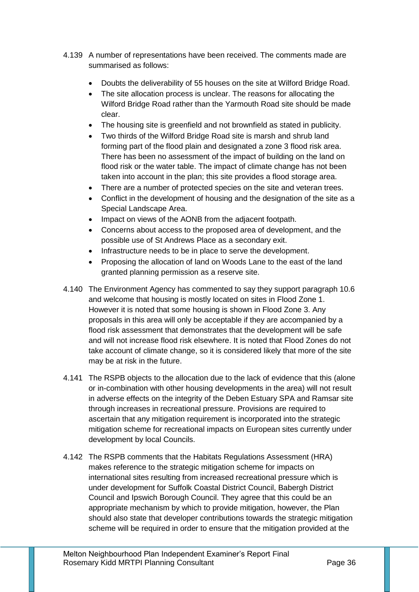- 4.139 A number of representations have been received. The comments made are summarised as follows:
	- Doubts the deliverability of 55 houses on the site at Wilford Bridge Road.
	- The site allocation process is unclear. The reasons for allocating the Wilford Bridge Road rather than the Yarmouth Road site should be made clear.
	- The housing site is greenfield and not brownfield as stated in publicity.
	- Two thirds of the Wilford Bridge Road site is marsh and shrub land forming part of the flood plain and designated a zone 3 flood risk area. There has been no assessment of the impact of building on the land on flood risk or the water table. The impact of climate change has not been taken into account in the plan; this site provides a flood storage area.
	- There are a number of protected species on the site and veteran trees.
	- Conflict in the development of housing and the designation of the site as a Special Landscape Area.
	- Impact on views of the AONB from the adjacent footpath.
	- Concerns about access to the proposed area of development, and the possible use of St Andrews Place as a secondary exit.
	- Infrastructure needs to be in place to serve the development.
	- Proposing the allocation of land on Woods Lane to the east of the land granted planning permission as a reserve site.
- 4.140 The Environment Agency has commented to say they support paragraph 10.6 and welcome that housing is mostly located on sites in Flood Zone 1. However it is noted that some housing is shown in Flood Zone 3. Any proposals in this area will only be acceptable if they are accompanied by a flood risk assessment that demonstrates that the development will be safe and will not increase flood risk elsewhere. It is noted that Flood Zones do not take account of climate change, so it is considered likely that more of the site may be at risk in the future.
- 4.141 The RSPB objects to the allocation due to the lack of evidence that this (alone or in-combination with other housing developments in the area) will not result in adverse effects on the integrity of the Deben Estuary SPA and Ramsar site through increases in recreational pressure. Provisions are required to ascertain that any mitigation requirement is incorporated into the strategic mitigation scheme for recreational impacts on European sites currently under development by local Councils.
- 4.142 The RSPB comments that the Habitats Regulations Assessment (HRA) makes reference to the strategic mitigation scheme for impacts on international sites resulting from increased recreational pressure which is under development for Suffolk Coastal District Council, Babergh District Council and Ipswich Borough Council. They agree that this could be an appropriate mechanism by which to provide mitigation, however, the Plan should also state that developer contributions towards the strategic mitigation scheme will be required in order to ensure that the mitigation provided at the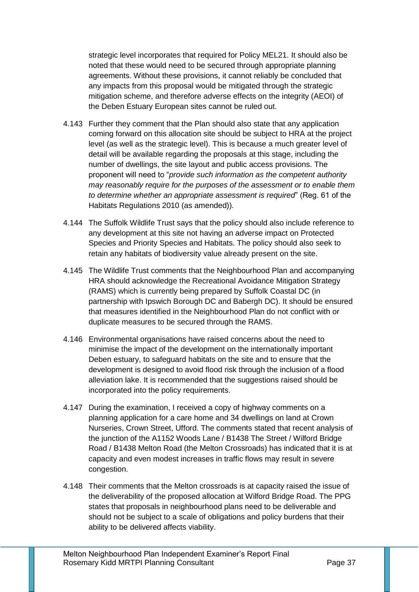strategic level incorporates that required for Policy MEL21. It should also be noted that these would need to be secured through appropriate planning agreements. Without these provisions, it cannot reliably be concluded that any impacts from this proposal would be mitigated through the strategic mitigation scheme, and therefore adverse effects on the integrity (AEOI) of the Deben Estuary European sites cannot be ruled out.

- 4.143 Further they comment that the Plan should also state that any application coming forward on this allocation site should be subject to HRA at the project level (as well as the strategic level). This is because a much greater level of detail will be available regarding the proposals at this stage, including the number of dwellings, the site layout and public access provisions. The proponent will need to "*provide such information as the competent authority may reasonably require for the purposes of the assessment or to enable them to determine whether an appropriate assessment is required*" (Reg. 61 of the Habitats Regulations 2010 (as amended)).
- 4.144 The Suffolk Wildlife Trust says that the policy should also include reference to any development at this site not having an adverse impact on Protected Species and Priority Species and Habitats. The policy should also seek to retain any habitats of biodiversity value already present on the site.
- 4.145 The Wildlife Trust comments that the Neighbourhood Plan and accompanying HRA should acknowledge the Recreational Avoidance Mitigation Strategy (RAMS) which is currently being prepared by Suffolk Coastal DC (in partnership with Ipswich Borough DC and Babergh DC). It should be ensured that measures identified in the Neighbourhood Plan do not conflict with or duplicate measures to be secured through the RAMS.
- 4.146 Environmental organisations have raised concerns about the need to minimise the impact of the development on the internationally important Deben estuary, to safeguard habitats on the site and to ensure that the development is designed to avoid flood risk through the inclusion of a flood alleviation lake. It is recommended that the suggestions raised should be incorporated into the policy requirements.
- 4.147 During the examination, I received a copy of highway comments on a planning application for a care home and 34 dwellings on land at Crown Nurseries, Crown Street, Ufford. The comments stated that recent analysis of the junction of the A1152 Woods Lane / B1438 The Street / Wilford Bridge Road / B1438 Melton Road (the Melton Crossroads) has indicated that it is at capacity and even modest increases in traffic flows may result in severe congestion.
- 4.148 Their comments that the Melton crossroads is at capacity raised the issue of the deliverability of the proposed allocation at Wilford Bridge Road. The PPG states that proposals in neighbourhood plans need to be deliverable and should not be subject to a scale of obligations and policy burdens that their ability to be delivered affects viability.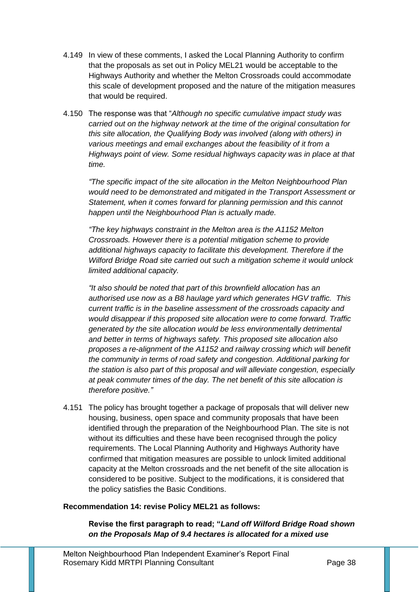- 4.149 In view of these comments, I asked the Local Planning Authority to confirm that the proposals as set out in Policy MEL21 would be acceptable to the Highways Authority and whether the Melton Crossroads could accommodate this scale of development proposed and the nature of the mitigation measures that would be required.
- 4.150 The response was that "*Although no specific cumulative impact study was carried out on the highway network at the time of the original consultation for this site allocation, the Qualifying Body was involved (along with others) in various meetings and email exchanges about the feasibility of it from a Highways point of view. Some residual highways capacity was in place at that time.*

*"The specific impact of the site allocation in the Melton Neighbourhood Plan would need to be demonstrated and mitigated in the Transport Assessment or Statement, when it comes forward for planning permission and this cannot happen until the Neighbourhood Plan is actually made.*

*"The key highways constraint in the Melton area is the A1152 Melton Crossroads. However there is a potential mitigation scheme to provide additional highways capacity to facilitate this development. Therefore if the Wilford Bridge Road site carried out such a mitigation scheme it would unlock limited additional capacity.*

*"It also should be noted that part of this brownfield allocation has an authorised use now as a B8 haulage yard which generates HGV traffic. This current traffic is in the baseline assessment of the crossroads capacity and would disappear if this proposed site allocation were to come forward. Traffic generated by the site allocation would be less environmentally detrimental and better in terms of highways safety. This proposed site allocation also proposes a re-alignment of the A1152 and railway crossing which will benefit the community in terms of road safety and congestion. Additional parking for the station is also part of this proposal and will alleviate congestion, especially at peak commuter times of the day. The net benefit of this site allocation is therefore positive."*

4.151 The policy has brought together a package of proposals that will deliver new housing, business, open space and community proposals that have been identified through the preparation of the Neighbourhood Plan. The site is not without its difficulties and these have been recognised through the policy requirements. The Local Planning Authority and Highways Authority have confirmed that mitigation measures are possible to unlock limited additional capacity at the Melton crossroads and the net benefit of the site allocation is considered to be positive. Subject to the modifications, it is considered that the policy satisfies the Basic Conditions.

#### **Recommendation 14: revise Policy MEL21 as follows:**

**Revise the first paragraph to read; "***Land off Wilford Bridge Road shown on the Proposals Map of 9.4 hectares is allocated for a mixed use*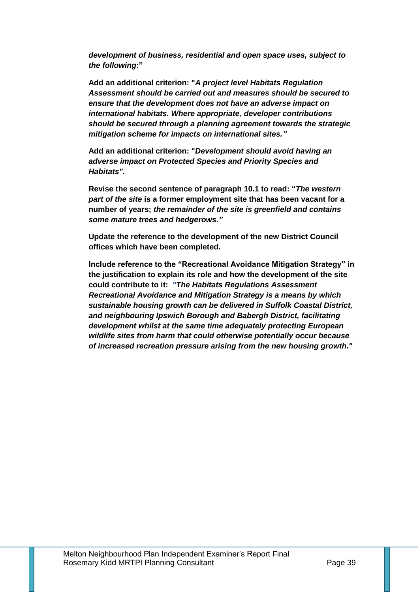*development of business, residential and open space uses, subject to the following***:"** 

**Add an additional criterion: "***A project level Habitats Regulation Assessment should be carried out and measures should be secured to ensure that the development does not have an adverse impact on international habitats. Where appropriate, developer contributions should be secured through a planning agreement towards the strategic mitigation scheme for impacts on international sites."*

**Add an additional criterion: "***Development should avoid having an adverse impact on Protected Species and Priority Species and Habitats".*

**Revise the second sentence of paragraph 10.1 to read: "***The western part of the site* **is a former employment site that has been vacant for a number of years;** *the remainder of the site is greenfield and contains some mature trees and hedgerows."*

**Update the reference to the development of the new District Council offices which have been completed.** 

**Include reference to the "Recreational Avoidance Mitigation Strategy" in the justification to explain its role and how the development of the site could contribute to it:** *"The Habitats Regulations Assessment Recreational Avoidance and Mitigation Strategy is a means by which sustainable housing growth can be delivered in Suffolk Coastal District, and neighbouring Ipswich Borough and Babergh District, facilitating development whilst at the same time adequately protecting European wildlife sites from harm that could otherwise potentially occur because of increased recreation pressure arising from the new housing growth."*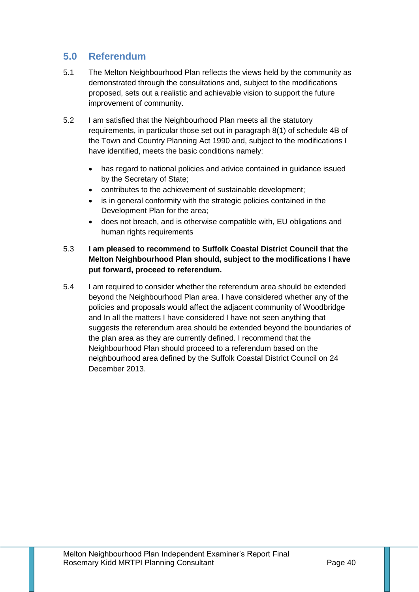# **5.0 Referendum**

- 5.1 The Melton Neighbourhood Plan reflects the views held by the community as demonstrated through the consultations and, subject to the modifications proposed, sets out a realistic and achievable vision to support the future improvement of community.
- 5.2 I am satisfied that the Neighbourhood Plan meets all the statutory requirements, in particular those set out in paragraph 8(1) of schedule 4B of the Town and Country Planning Act 1990 and, subject to the modifications I have identified, meets the basic conditions namely:
	- has regard to national policies and advice contained in guidance issued by the Secretary of State;
	- contributes to the achievement of sustainable development;
	- is in general conformity with the strategic policies contained in the Development Plan for the area;
	- does not breach, and is otherwise compatible with, EU obligations and human rights requirements

# 5.3 **I am pleased to recommend to Suffolk Coastal District Council that the Melton Neighbourhood Plan should, subject to the modifications I have put forward, proceed to referendum.**

5.4 I am required to consider whether the referendum area should be extended beyond the Neighbourhood Plan area. I have considered whether any of the policies and proposals would affect the adjacent community of Woodbridge and In all the matters I have considered I have not seen anything that suggests the referendum area should be extended beyond the boundaries of the plan area as they are currently defined. I recommend that the Neighbourhood Plan should proceed to a referendum based on the neighbourhood area defined by the Suffolk Coastal District Council on 24 December 2013.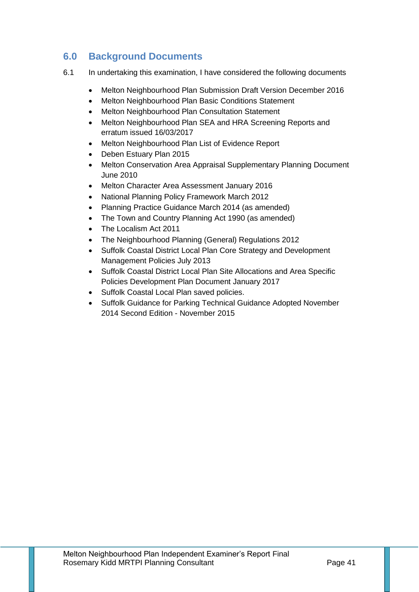# **6.0 Background Documents**

- 6.1 In undertaking this examination, I have considered the following documents
	- Melton Neighbourhood Plan Submission Draft Version December 2016
	- Melton Neighbourhood Plan Basic Conditions Statement
	- Melton Neighbourhood Plan Consultation Statement
	- Melton Neighbourhood Plan SEA and HRA Screening Reports and erratum issued 16/03/2017
	- Melton Neighbourhood Plan List of Evidence Report
	- Deben Estuary Plan 2015
	- Melton Conservation Area Appraisal Supplementary Planning Document June 2010
	- Melton Character Area Assessment January 2016
	- National Planning Policy Framework March 2012
	- Planning Practice Guidance March 2014 (as amended)
	- The Town and Country Planning Act 1990 (as amended)
	- The Localism Act 2011
	- The Neighbourhood Planning (General) Regulations 2012
	- Suffolk Coastal District Local Plan Core Strategy and Development Management Policies July 2013
	- Suffolk Coastal District Local Plan Site Allocations and Area Specific Policies Development Plan Document January 2017
	- Suffolk Coastal Local Plan saved policies.
	- Suffolk Guidance for Parking Technical Guidance Adopted November 2014 Second Edition - November 2015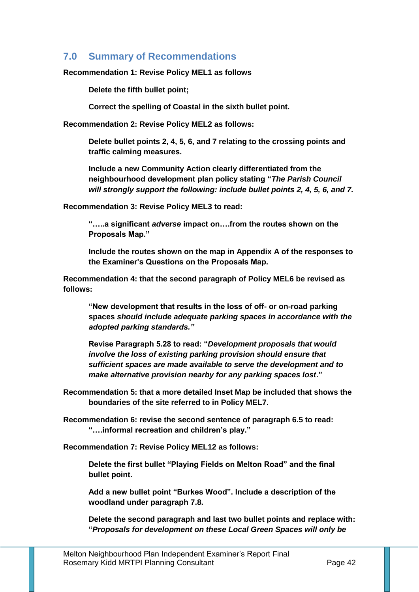# **7.0 Summary of Recommendations**

#### **Recommendation 1: Revise Policy MEL1 as follows**

**Delete the fifth bullet point;**

**Correct the spelling of Coastal in the sixth bullet point.** 

**Recommendation 2: Revise Policy MEL2 as follows:**

**Delete bullet points 2, 4, 5, 6, and 7 relating to the crossing points and traffic calming measures.** 

**Include a new Community Action clearly differentiated from the neighbourhood development plan policy stating "***The Parish Council will strongly support the following: include bullet points 2, 4, 5, 6, and 7.*

**Recommendation 3: Revise Policy MEL3 to read:**

**"…..a significant** *adverse* **impact on….from the routes shown on the Proposals Map."**

**Include the routes shown on the map in Appendix A of the responses to the Examiner's Questions on the Proposals Map.**

**Recommendation 4: that the second paragraph of Policy MEL6 be revised as follows:**

**"New development that results in the loss of off- or on-road parking spaces** *should include adequate parking spaces in accordance with the adopted parking standards."*

**Revise Paragraph 5.28 to read: "***Development proposals that would involve the loss of existing parking provision should ensure that sufficient spaces are made available to serve the development and to make alternative provision nearby for any parking spaces lost***."** 

**Recommendation 5: that a more detailed Inset Map be included that shows the boundaries of the site referred to in Policy MEL7.** 

**Recommendation 6: revise the second sentence of paragraph 6.5 to read: "….informal recreation and children's play."**

**Recommendation 7: Revise Policy MEL12 as follows:**

**Delete the first bullet "Playing Fields on Melton Road" and the final bullet point.**

**Add a new bullet point "Burkes Wood". Include a description of the woodland under paragraph 7.8.**

**Delete the second paragraph and last two bullet points and replace with: "***Proposals for development on these Local Green Spaces will only be*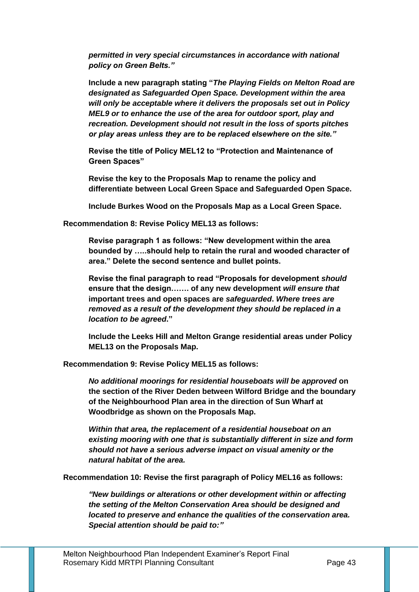*permitted in very special circumstances in accordance with national policy on Green Belts."*

**Include a new paragraph stating "***The Playing Fields on Melton Road are designated as Safeguarded Open Space. Development within the area will only be acceptable where it delivers the proposals set out in Policy MEL9 or to enhance the use of the area for outdoor sport, play and recreation. Development should not result in the loss of sports pitches or play areas unless they are to be replaced elsewhere on the site."*

**Revise the title of Policy MEL12 to "Protection and Maintenance of Green Spaces"** 

**Revise the key to the Proposals Map to rename the policy and differentiate between Local Green Space and Safeguarded Open Space.**

**Include Burkes Wood on the Proposals Map as a Local Green Space.**

**Recommendation 8: Revise Policy MEL13 as follows:**

**Revise paragraph 1 as follows: "New development within the area bounded by …..should help to retain the rural and wooded character of area." Delete the second sentence and bullet points.**

**Revise the final paragraph to read "Proposals for development** *should* **ensure that the design……. of any new development** *will ensure that*  **important trees and open spaces are** *safeguarded***.** *Where trees are removed as a result of the development they should be replaced in a location to be agreed***."**

**Include the Leeks Hill and Melton Grange residential areas under Policy MEL13 on the Proposals Map.**

**Recommendation 9: Revise Policy MEL15 as follows:**

*No additional moorings for residential houseboats will be approved* **on the section of the River Deden between Wilford Bridge and the boundary of the Neighbourhood Plan area in the direction of Sun Wharf at Woodbridge as shown on the Proposals Map.** 

*Within that area, the replacement of a residential houseboat on an existing mooring with one that is substantially different in size and form should not have a serious adverse impact on visual amenity or the natural habitat of the area.* 

**Recommendation 10: Revise the first paragraph of Policy MEL16 as follows:**

*"New buildings or alterations or other development within or affecting the setting of the Melton Conservation Area should be designed and located to preserve and enhance the qualities of the conservation area. Special attention should be paid to:"*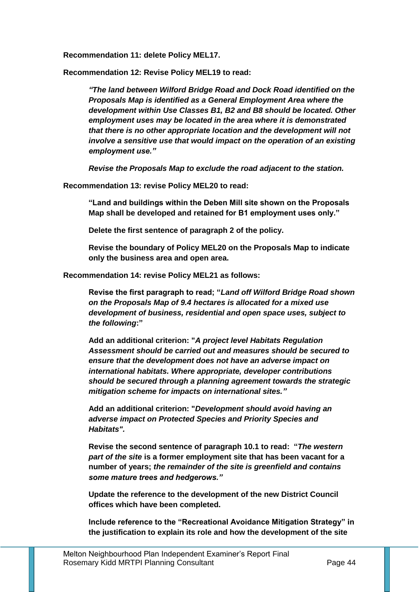**Recommendation 11: delete Policy MEL17.**

**Recommendation 12: Revise Policy MEL19 to read:**

*"The land between Wilford Bridge Road and Dock Road identified on the Proposals Map is identified as a General Employment Area where the development within Use Classes B1, B2 and B8 should be located. Other employment uses may be located in the area where it is demonstrated that there is no other appropriate location and the development will not involve a sensitive use that would impact on the operation of an existing employment use."*

*Revise the Proposals Map to exclude the road adjacent to the station.* 

**Recommendation 13: revise Policy MEL20 to read:**

**"Land and buildings within the Deben Mill site shown on the Proposals Map shall be developed and retained for B1 employment uses only."**

**Delete the first sentence of paragraph 2 of the policy.**

**Revise the boundary of Policy MEL20 on the Proposals Map to indicate only the business area and open area.** 

**Recommendation 14: revise Policy MEL21 as follows:**

**Revise the first paragraph to read; "***Land off Wilford Bridge Road shown on the Proposals Map of 9.4 hectares is allocated for a mixed use development of business, residential and open space uses, subject to the following***:"** 

**Add an additional criterion: "***A project level Habitats Regulation Assessment should be carried out and measures should be secured to ensure that the development does not have an adverse impact on international habitats. Where appropriate, developer contributions should be secured through a planning agreement towards the strategic mitigation scheme for impacts on international sites."*

**Add an additional criterion: "***Development should avoid having an adverse impact on Protected Species and Priority Species and Habitats".*

**Revise the second sentence of paragraph 10.1 to read: "***The western part of the site* **is a former employment site that has been vacant for a number of years;** *the remainder of the site is greenfield and contains some mature trees and hedgerows."*

**Update the reference to the development of the new District Council offices which have been completed.** 

**Include reference to the "Recreational Avoidance Mitigation Strategy" in the justification to explain its role and how the development of the site**